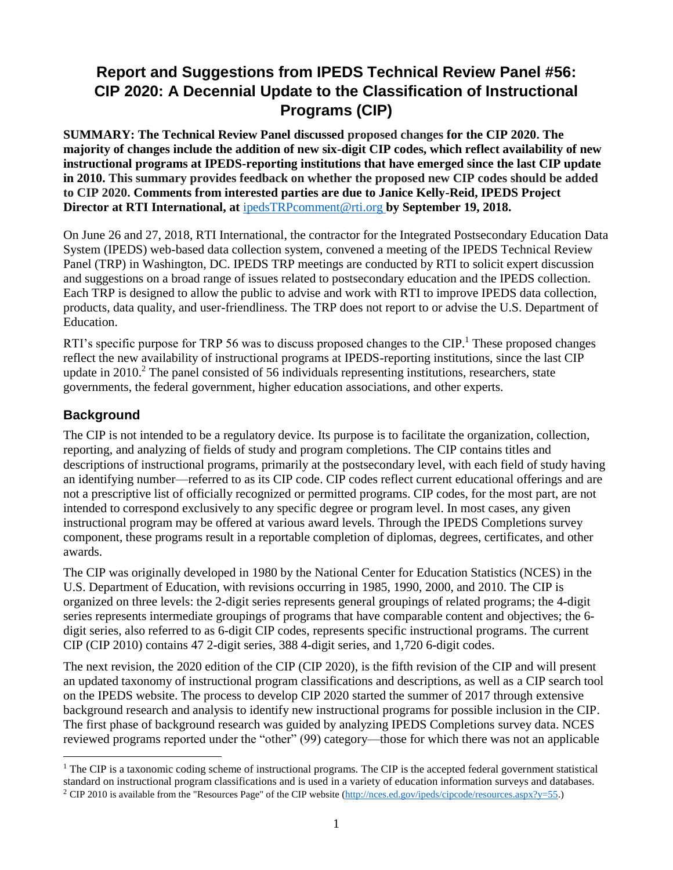# **Report and Suggestions from IPEDS Technical Review Panel #56: CIP 2020: A Decennial Update to the Classification of Instructional Programs (CIP)**

**SUMMARY: The Technical Review Panel discussed proposed changes for the CIP 2020. The majority of changes include the addition of new six-digit CIP codes, which reflect availability of new instructional programs at IPEDS-reporting institutions that have emerged since the last CIP update in 2010. This summary provides feedback on whether the proposed new CIP codes should be added to CIP 2020. Comments from interested parties are due to Janice Kelly-Reid, IPEDS Project Director at RTI International, at** [ipedsTRPcomment@rti.org](mailto:ipedsTRPcomment@rti.org) **by September 19, 2018.** 

On June 26 and 27, 2018, RTI International, the contractor for the Integrated Postsecondary Education Data System (IPEDS) web-based data collection system, convened a meeting of the IPEDS Technical Review Panel (TRP) in Washington, DC. IPEDS TRP meetings are conducted by RTI to solicit expert discussion and suggestions on a broad range of issues related to postsecondary education and the IPEDS collection. Each TRP is designed to allow the public to advise and work with RTI to improve IPEDS data collection, products, data quality, and user-friendliness. The TRP does not report to or advise the U.S. Department of Education.

RTI's specific purpose for TRP 56 was to discuss proposed changes to the CIP.<sup>1</sup> These proposed changes reflect the new availability of instructional programs at IPEDS-reporting institutions, since the last CIP update in 2010.<sup>2</sup> The panel consisted of 56 individuals representing institutions, researchers, state governments, the federal government, higher education associations, and other experts.

# **Background**

 $\overline{a}$ 

The CIP is not intended to be a regulatory device. Its purpose is to facilitate the organization, collection, reporting, and analyzing of fields of study and program completions. The CIP contains titles and descriptions of instructional programs, primarily at the postsecondary level, with each field of study having an identifying number—referred to as its CIP code. CIP codes reflect current educational offerings and are not a prescriptive list of officially recognized or permitted programs. CIP codes, for the most part, are not intended to correspond exclusively to any specific degree or program level. In most cases, any given instructional program may be offered at various award levels. Through the IPEDS Completions survey component, these programs result in a reportable completion of diplomas, degrees, certificates, and other awards.

The CIP was originally developed in 1980 by the National Center for Education Statistics (NCES) in the U.S. Department of Education, with revisions occurring in 1985, 1990, 2000, and 2010. The CIP is organized on three levels: the 2-digit series represents general groupings of related programs; the 4-digit series represents intermediate groupings of programs that have comparable content and objectives; the 6 digit series, also referred to as 6-digit CIP codes, represents specific instructional programs. The current CIP (CIP 2010) contains 47 2-digit series, 388 4-digit series, and 1,720 6-digit codes.

The next revision, the 2020 edition of the CIP (CIP 2020), is the fifth revision of the CIP and will present an updated taxonomy of instructional program classifications and descriptions, as well as a CIP search tool on the IPEDS website. The process to develop CIP 2020 started the summer of 2017 through extensive background research and analysis to identify new instructional programs for possible inclusion in the CIP. The first phase of background research was guided by analyzing IPEDS Completions survey data. NCES reviewed programs reported under the "other" (99) category—those for which there was not an applicable

 $<sup>1</sup>$  The CIP is a taxonomic coding scheme of instructional programs. The CIP is the accepted federal government statistical</sup> standard on instructional program classifications and is used in a variety of education information surveys and databases. <sup>2</sup> CIP 2010 is available from the "Resources Page" of the CIP website [\(http://nces.ed.gov/ipeds/cipcode/resources.aspx?y=55.](http://nces.ed.gov/ipeds/cipcode/resources.aspx?y=55))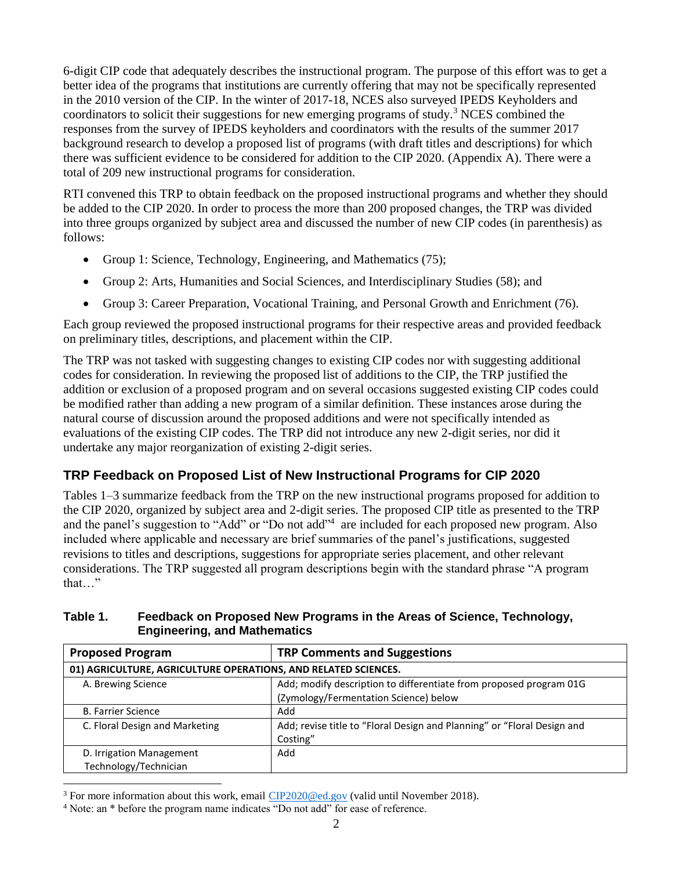6-digit CIP code that adequately describes the instructional program. The purpose of this effort was to get a better idea of the programs that institutions are currently offering that may not be specifically represented in the 2010 version of the CIP. In the winter of 2017-18, NCES also surveyed IPEDS Keyholders and coordinators to solicit their suggestions for new emerging programs of study.<sup>3</sup> NCES combined the responses from the survey of IPEDS keyholders and coordinators with the results of the summer 2017 background research to develop a proposed list of programs (with draft titles and descriptions) for which there was sufficient evidence to be considered for addition to the CIP 2020. (Appendix A). There were a total of 209 new instructional programs for consideration.

RTI convened this TRP to obtain feedback on the proposed instructional programs and whether they should be added to the CIP 2020. In order to process the more than 200 proposed changes, the TRP was divided into three groups organized by subject area and discussed the number of new CIP codes (in parenthesis) as follows:

- Group 1: Science, Technology, Engineering, and Mathematics (75);
- Group 2: Arts, Humanities and Social Sciences, and Interdisciplinary Studies (58); and
- Group 3: Career Preparation, Vocational Training, and Personal Growth and Enrichment (76).

Each group reviewed the proposed instructional programs for their respective areas and provided feedback on preliminary titles, descriptions, and placement within the CIP.

The TRP was not tasked with suggesting changes to existing CIP codes nor with suggesting additional codes for consideration. In reviewing the proposed list of additions to the CIP, the TRP justified the addition or exclusion of a proposed program and on several occasions suggested existing CIP codes could be modified rather than adding a new program of a similar definition. These instances arose during the natural course of discussion around the proposed additions and were not specifically intended as evaluations of the existing CIP codes. The TRP did not introduce any new 2-digit series, nor did it undertake any major reorganization of existing 2-digit series.

# **TRP Feedback on Proposed List of New Instructional Programs for CIP 2020**

Tables 1–3 summarize feedback from the TRP on the new instructional programs proposed for addition to the CIP 2020, organized by subject area and 2-digit series. The proposed CIP title as presented to the TRP and the panel's suggestion to "Add" or "Do not add"<sup>4</sup> are included for each proposed new program. Also included where applicable and necessary are brief summaries of the panel's justifications, suggested revisions to titles and descriptions, suggestions for appropriate series placement, and other relevant considerations. The TRP suggested all program descriptions begin with the standard phrase "A program that…"

## **Table 1. Feedback on Proposed New Programs in the Areas of Science, Technology, Engineering, and Mathematics**

| <b>Proposed Program</b>                                        | <b>TRP Comments and Suggestions</b>                                                                         |  |
|----------------------------------------------------------------|-------------------------------------------------------------------------------------------------------------|--|
| 01) AGRICULTURE, AGRICULTURE OPERATIONS, AND RELATED SCIENCES. |                                                                                                             |  |
| A. Brewing Science                                             | Add; modify description to differentiate from proposed program 01G<br>(Zymology/Fermentation Science) below |  |
| <b>B. Farrier Science</b>                                      | Add                                                                                                         |  |
| C. Floral Design and Marketing                                 | Add; revise title to "Floral Design and Planning" or "Floral Design and<br>Costing"                         |  |
| D. Irrigation Management<br>Technology/Technician              | Add                                                                                                         |  |

<sup>&</sup>lt;sup>3</sup> For more information about this work, email [CIP2020@ed.gov](mailto:CIP2020@ed.gov) (valid until November 2018).

<sup>4</sup> Note: an \* before the program name indicates "Do not add" for ease of reference.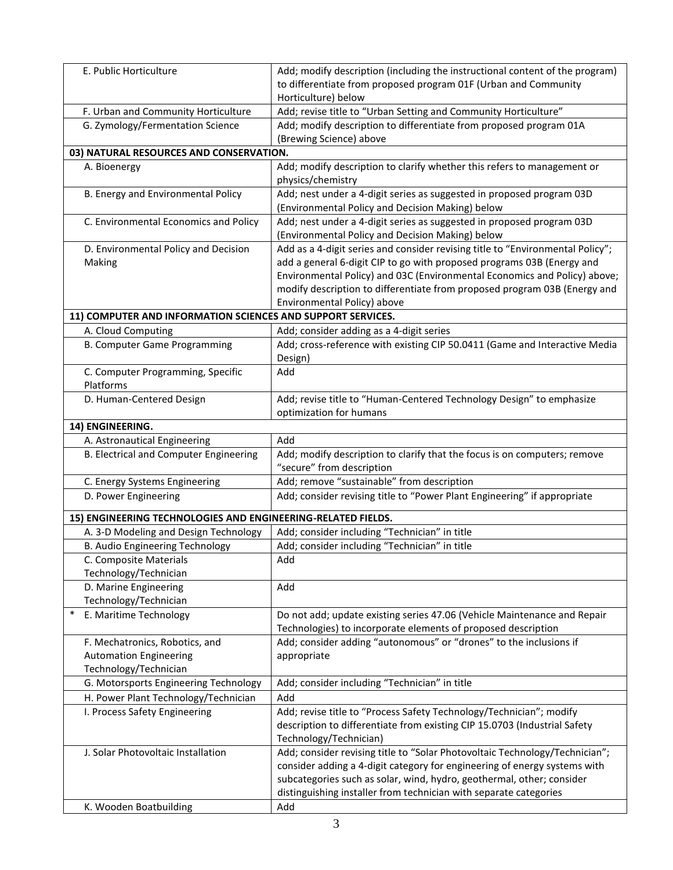| E. Public Horticulture                                       | Add; modify description (including the instructional content of the program)<br>to differentiate from proposed program 01F (Urban and Community                                                                                                                                                                                                   |
|--------------------------------------------------------------|---------------------------------------------------------------------------------------------------------------------------------------------------------------------------------------------------------------------------------------------------------------------------------------------------------------------------------------------------|
| F. Urban and Community Horticulture                          | Horticulture) below<br>Add; revise title to "Urban Setting and Community Horticulture"                                                                                                                                                                                                                                                            |
| G. Zymology/Fermentation Science                             | Add; modify description to differentiate from proposed program 01A                                                                                                                                                                                                                                                                                |
|                                                              | (Brewing Science) above                                                                                                                                                                                                                                                                                                                           |
| 03) NATURAL RESOURCES AND CONSERVATION.                      |                                                                                                                                                                                                                                                                                                                                                   |
| A. Bioenergy                                                 | Add; modify description to clarify whether this refers to management or                                                                                                                                                                                                                                                                           |
|                                                              | physics/chemistry                                                                                                                                                                                                                                                                                                                                 |
| B. Energy and Environmental Policy                           | Add; nest under a 4-digit series as suggested in proposed program 03D<br>(Environmental Policy and Decision Making) below                                                                                                                                                                                                                         |
| C. Environmental Economics and Policy                        | Add; nest under a 4-digit series as suggested in proposed program 03D<br>(Environmental Policy and Decision Making) below                                                                                                                                                                                                                         |
| D. Environmental Policy and Decision<br>Making               | Add as a 4-digit series and consider revising title to "Environmental Policy";<br>add a general 6-digit CIP to go with proposed programs 03B (Energy and<br>Environmental Policy) and 03C (Environmental Economics and Policy) above;<br>modify description to differentiate from proposed program 03B (Energy and<br>Environmental Policy) above |
| 11) COMPUTER AND INFORMATION SCIENCES AND SUPPORT SERVICES.  |                                                                                                                                                                                                                                                                                                                                                   |
| A. Cloud Computing                                           | Add; consider adding as a 4-digit series                                                                                                                                                                                                                                                                                                          |
| <b>B. Computer Game Programming</b>                          | Add; cross-reference with existing CIP 50.0411 (Game and Interactive Media<br>Design)                                                                                                                                                                                                                                                             |
| C. Computer Programming, Specific<br>Platforms               | Add                                                                                                                                                                                                                                                                                                                                               |
| D. Human-Centered Design                                     | Add; revise title to "Human-Centered Technology Design" to emphasize<br>optimization for humans                                                                                                                                                                                                                                                   |
| 14) ENGINEERING.                                             |                                                                                                                                                                                                                                                                                                                                                   |
| A. Astronautical Engineering                                 | Add                                                                                                                                                                                                                                                                                                                                               |
| B. Electrical and Computer Engineering                       | Add; modify description to clarify that the focus is on computers; remove<br>"secure" from description                                                                                                                                                                                                                                            |
| C. Energy Systems Engineering                                | Add; remove "sustainable" from description                                                                                                                                                                                                                                                                                                        |
| D. Power Engineering                                         | Add; consider revising title to "Power Plant Engineering" if appropriate                                                                                                                                                                                                                                                                          |
| 15) ENGINEERING TECHNOLOGIES AND ENGINEERING-RELATED FIELDS. |                                                                                                                                                                                                                                                                                                                                                   |
| A. 3-D Modeling and Design Technology                        | Add; consider including "Technician" in title                                                                                                                                                                                                                                                                                                     |
| B. Audio Engineering Technology                              | Add; consider including "Technician" in title                                                                                                                                                                                                                                                                                                     |
| C. Composite Materials<br>Technology/Technician              | Add                                                                                                                                                                                                                                                                                                                                               |
| D. Marine Engineering                                        | Add                                                                                                                                                                                                                                                                                                                                               |
| Technology/Technician                                        |                                                                                                                                                                                                                                                                                                                                                   |
| E. Maritime Technology                                       | Do not add; update existing series 47.06 (Vehicle Maintenance and Repair<br>Technologies) to incorporate elements of proposed description                                                                                                                                                                                                         |
| F. Mechatronics, Robotics, and                               | Add; consider adding "autonomous" or "drones" to the inclusions if                                                                                                                                                                                                                                                                                |
| <b>Automation Engineering</b>                                | appropriate                                                                                                                                                                                                                                                                                                                                       |
| Technology/Technician                                        |                                                                                                                                                                                                                                                                                                                                                   |
| G. Motorsports Engineering Technology                        | Add; consider including "Technician" in title                                                                                                                                                                                                                                                                                                     |
| H. Power Plant Technology/Technician                         | Add                                                                                                                                                                                                                                                                                                                                               |
| I. Process Safety Engineering                                | Add; revise title to "Process Safety Technology/Technician"; modify<br>description to differentiate from existing CIP 15.0703 (Industrial Safety<br>Technology/Technician)                                                                                                                                                                        |
| J. Solar Photovoltaic Installation                           | Add; consider revising title to "Solar Photovoltaic Technology/Technician";<br>consider adding a 4-digit category for engineering of energy systems with<br>subcategories such as solar, wind, hydro, geothermal, other; consider<br>distinguishing installer from technician with separate categories                                            |
| K. Wooden Boatbuilding                                       | Add                                                                                                                                                                                                                                                                                                                                               |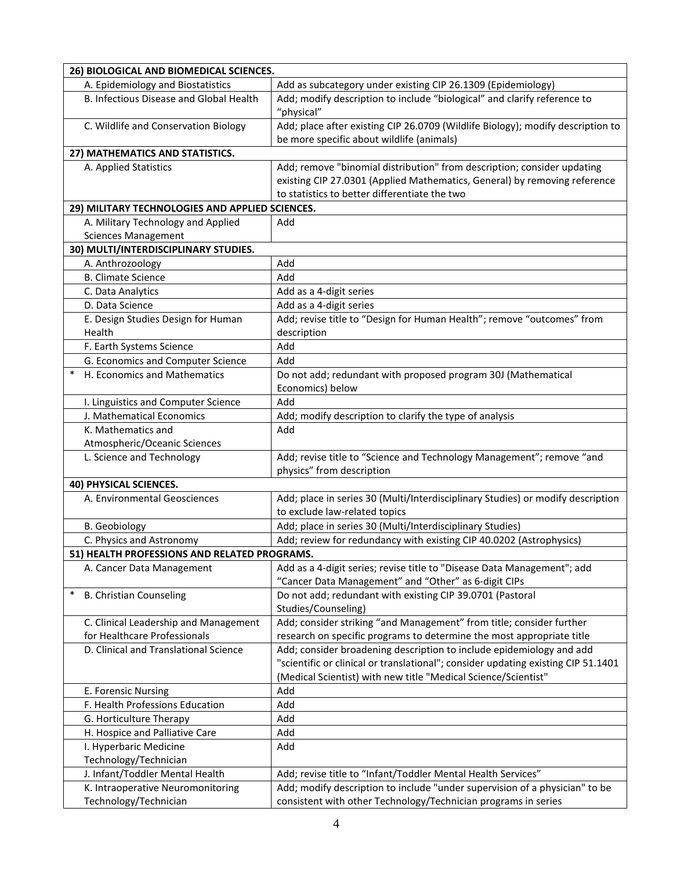| 26) BIOLOGICAL AND BIOMEDICAL SCIENCES.         |                                                                                                                                                                                                       |  |
|-------------------------------------------------|-------------------------------------------------------------------------------------------------------------------------------------------------------------------------------------------------------|--|
| A. Epidemiology and Biostatistics               | Add as subcategory under existing CIP 26.1309 (Epidemiology)                                                                                                                                          |  |
| B. Infectious Disease and Global Health         | Add; modify description to include "biological" and clarify reference to<br>"physical"                                                                                                                |  |
| C. Wildlife and Conservation Biology            | Add; place after existing CIP 26.0709 (Wildlife Biology); modify description to<br>be more specific about wildlife (animals)                                                                          |  |
| 27) MATHEMATICS AND STATISTICS.                 |                                                                                                                                                                                                       |  |
| A. Applied Statistics                           | Add; remove "binomial distribution" from description; consider updating<br>existing CIP 27.0301 (Applied Mathematics, General) by removing reference<br>to statistics to better differentiate the two |  |
| 29) MILITARY TECHNOLOGIES AND APPLIED SCIENCES. |                                                                                                                                                                                                       |  |
| A. Military Technology and Applied              | Add                                                                                                                                                                                                   |  |
| <b>Sciences Management</b>                      |                                                                                                                                                                                                       |  |
| 30) MULTI/INTERDISCIPLINARY STUDIES.            |                                                                                                                                                                                                       |  |
| A. Anthrozoology                                | Add                                                                                                                                                                                                   |  |
| <b>B. Climate Science</b>                       | Add                                                                                                                                                                                                   |  |
| C. Data Analytics                               | Add as a 4-digit series                                                                                                                                                                               |  |
| D. Data Science                                 | Add as a 4-digit series                                                                                                                                                                               |  |
| E. Design Studies Design for Human<br>Health    | Add; revise title to "Design for Human Health"; remove "outcomes" from<br>description                                                                                                                 |  |
| F. Earth Systems Science                        | Add                                                                                                                                                                                                   |  |
| G. Economics and Computer Science               | Add                                                                                                                                                                                                   |  |
| H. Economics and Mathematics<br>$\ast$          | Do not add; redundant with proposed program 30J (Mathematical<br>Economics) below                                                                                                                     |  |
| I. Linguistics and Computer Science             | Add                                                                                                                                                                                                   |  |
| J. Mathematical Economics                       | Add; modify description to clarify the type of analysis                                                                                                                                               |  |
| K. Mathematics and                              | Add                                                                                                                                                                                                   |  |
| Atmospheric/Oceanic Sciences                    |                                                                                                                                                                                                       |  |
| L. Science and Technology                       | Add; revise title to "Science and Technology Management"; remove "and<br>physics" from description                                                                                                    |  |
| 40) PHYSICAL SCIENCES.                          |                                                                                                                                                                                                       |  |
| A. Environmental Geosciences                    | Add; place in series 30 (Multi/Interdisciplinary Studies) or modify description<br>to exclude law-related topics                                                                                      |  |
| <b>B.</b> Geobiology                            | Add; place in series 30 (Multi/Interdisciplinary Studies)                                                                                                                                             |  |
| C. Physics and Astronomy                        | Add; review for redundancy with existing CIP 40.0202 (Astrophysics)                                                                                                                                   |  |
| 51) HEALTH PROFESSIONS AND RELATED PROGRAMS.    |                                                                                                                                                                                                       |  |
| A. Cancer Data Management                       | Add as a 4-digit series; revise title to "Disease Data Management"; add<br>"Cancer Data Management" and "Other" as 6-digit CIPs                                                                       |  |
| <b>B. Christian Counseling</b>                  | Do not add; redundant with existing CIP 39.0701 (Pastoral<br>Studies/Counseling)                                                                                                                      |  |
| C. Clinical Leadership and Management           | Add; consider striking "and Management" from title; consider further                                                                                                                                  |  |
| for Healthcare Professionals                    | research on specific programs to determine the most appropriate title                                                                                                                                 |  |
| D. Clinical and Translational Science           | Add; consider broadening description to include epidemiology and add                                                                                                                                  |  |
|                                                 | "scientific or clinical or translational"; consider updating existing CIP 51.1401<br>(Medical Scientist) with new title "Medical Science/Scientist"                                                   |  |
| E. Forensic Nursing                             | Add                                                                                                                                                                                                   |  |
| F. Health Professions Education                 | Add                                                                                                                                                                                                   |  |
| G. Horticulture Therapy                         | Add                                                                                                                                                                                                   |  |
| H. Hospice and Palliative Care                  | Add                                                                                                                                                                                                   |  |
| I. Hyperbaric Medicine                          | Add                                                                                                                                                                                                   |  |
| Technology/Technician                           |                                                                                                                                                                                                       |  |
| J. Infant/Toddler Mental Health                 | Add; revise title to "Infant/Toddler Mental Health Services"                                                                                                                                          |  |
| K. Intraoperative Neuromonitoring               | Add; modify description to include "under supervision of a physician" to be                                                                                                                           |  |
| Technology/Technician                           | consistent with other Technology/Technician programs in series                                                                                                                                        |  |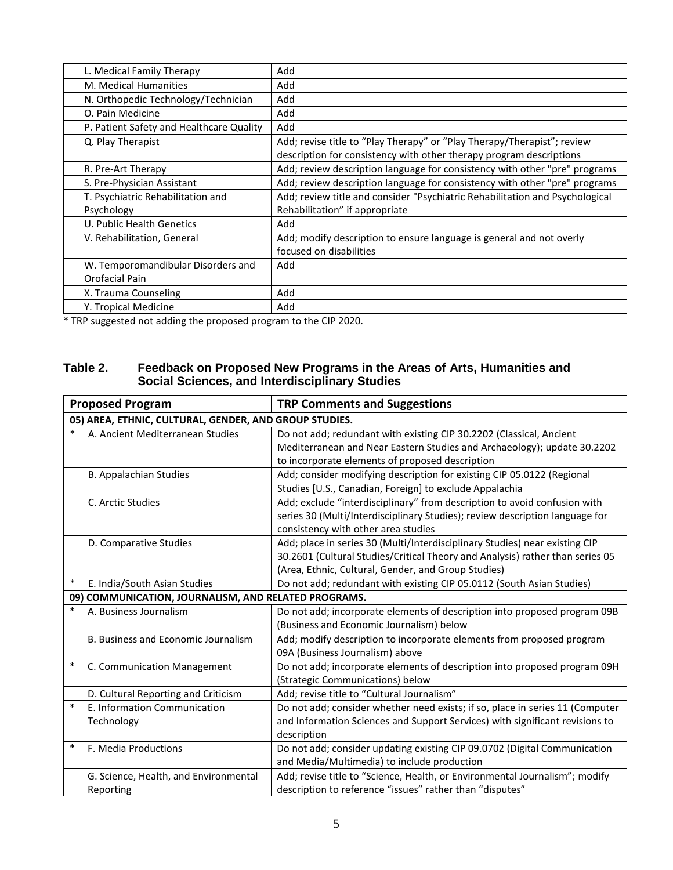| L. Medical Family Therapy                | Add                                                                          |
|------------------------------------------|------------------------------------------------------------------------------|
| M. Medical Humanities                    | Add                                                                          |
| N. Orthopedic Technology/Technician      | Add                                                                          |
| O. Pain Medicine                         | Add                                                                          |
| P. Patient Safety and Healthcare Quality | Add                                                                          |
| Q. Play Therapist                        | Add; revise title to "Play Therapy" or "Play Therapy/Therapist"; review      |
|                                          | description for consistency with other therapy program descriptions          |
| R. Pre-Art Therapy                       | Add; review description language for consistency with other "pre" programs   |
| S. Pre-Physician Assistant               | Add; review description language for consistency with other "pre" programs   |
| T. Psychiatric Rehabilitation and        | Add; review title and consider "Psychiatric Rehabilitation and Psychological |
| Psychology                               | Rehabilitation" if appropriate                                               |
| U. Public Health Genetics                | Add                                                                          |
| V. Rehabilitation, General               | Add; modify description to ensure language is general and not overly         |
|                                          | focused on disabilities                                                      |
| W. Temporomandibular Disorders and       | Add                                                                          |
| Orofacial Pain                           |                                                                              |
| X. Trauma Counseling                     | Add                                                                          |
| Y. Tropical Medicine                     | Add                                                                          |

\* TRP suggested not adding the proposed program to the CIP 2020.

## **Table 2. Feedback on Proposed New Programs in the Areas of Arts, Humanities and Social Sciences, and Interdisciplinary Studies**

|        | <b>Proposed Program</b>                                | <b>TRP Comments and Suggestions</b>                                                                                                            |  |
|--------|--------------------------------------------------------|------------------------------------------------------------------------------------------------------------------------------------------------|--|
|        | 05) AREA, ETHNIC, CULTURAL, GENDER, AND GROUP STUDIES. |                                                                                                                                                |  |
| $\ast$ | A. Ancient Mediterranean Studies                       | Do not add; redundant with existing CIP 30.2202 (Classical, Ancient<br>Mediterranean and Near Eastern Studies and Archaeology); update 30.2202 |  |
|        |                                                        | to incorporate elements of proposed description                                                                                                |  |
|        | <b>B. Appalachian Studies</b>                          | Add; consider modifying description for existing CIP 05.0122 (Regional                                                                         |  |
|        |                                                        | Studies [U.S., Canadian, Foreign] to exclude Appalachia                                                                                        |  |
|        | C. Arctic Studies                                      | Add; exclude "interdisciplinary" from description to avoid confusion with                                                                      |  |
|        |                                                        | series 30 (Multi/Interdisciplinary Studies); review description language for                                                                   |  |
|        |                                                        | consistency with other area studies                                                                                                            |  |
|        | D. Comparative Studies                                 | Add; place in series 30 (Multi/Interdisciplinary Studies) near existing CIP                                                                    |  |
|        |                                                        | 30.2601 (Cultural Studies/Critical Theory and Analysis) rather than series 05                                                                  |  |
|        |                                                        | (Area, Ethnic, Cultural, Gender, and Group Studies)                                                                                            |  |
| $\ast$ | E. India/South Asian Studies                           | Do not add; redundant with existing CIP 05.0112 (South Asian Studies)                                                                          |  |
|        | 09) COMMUNICATION, JOURNALISM, AND RELATED PROGRAMS.   |                                                                                                                                                |  |
| $\ast$ | A. Business Journalism                                 | Do not add; incorporate elements of description into proposed program 09B                                                                      |  |
|        |                                                        | (Business and Economic Journalism) below                                                                                                       |  |
|        | B. Business and Economic Journalism                    | Add; modify description to incorporate elements from proposed program                                                                          |  |
|        |                                                        | 09A (Business Journalism) above                                                                                                                |  |
| $\ast$ | C. Communication Management                            | Do not add; incorporate elements of description into proposed program 09H                                                                      |  |
|        |                                                        | (Strategic Communications) below                                                                                                               |  |
|        | D. Cultural Reporting and Criticism                    | Add; revise title to "Cultural Journalism"                                                                                                     |  |
| $\ast$ | E. Information Communication                           | Do not add; consider whether need exists; if so, place in series 11 (Computer                                                                  |  |
|        | Technology                                             | and Information Sciences and Support Services) with significant revisions to                                                                   |  |
|        |                                                        | description                                                                                                                                    |  |
| $\ast$ | F. Media Productions                                   | Do not add; consider updating existing CIP 09.0702 (Digital Communication                                                                      |  |
|        |                                                        | and Media/Multimedia) to include production                                                                                                    |  |
|        | G. Science, Health, and Environmental                  | Add; revise title to "Science, Health, or Environmental Journalism"; modify                                                                    |  |
|        | Reporting                                              | description to reference "issues" rather than "disputes"                                                                                       |  |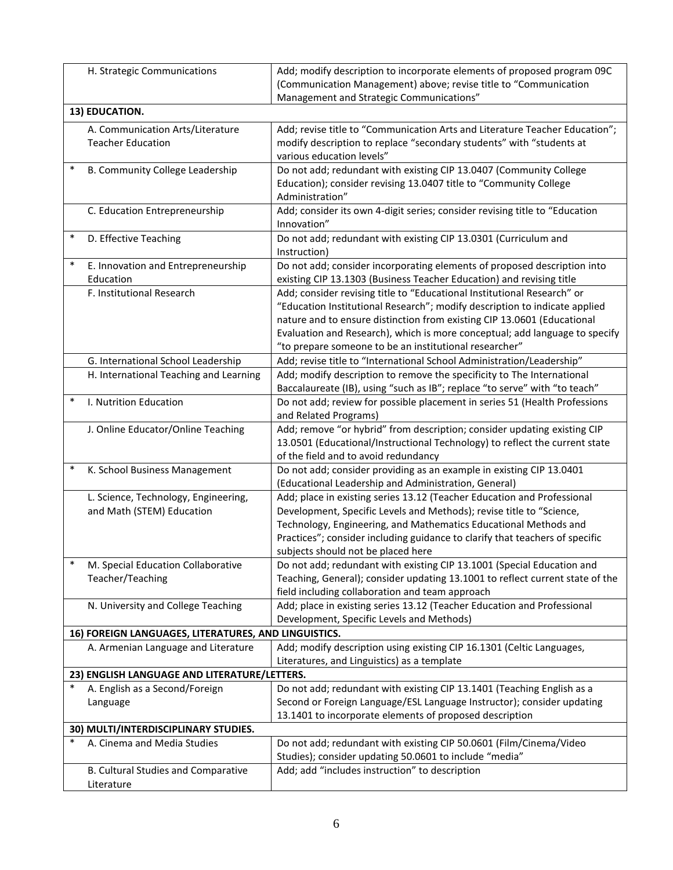|        | H. Strategic Communications                          | Add; modify description to incorporate elements of proposed program 09C                                                                          |
|--------|------------------------------------------------------|--------------------------------------------------------------------------------------------------------------------------------------------------|
|        |                                                      | (Communication Management) above; revise title to "Communication                                                                                 |
|        |                                                      | Management and Strategic Communications"                                                                                                         |
|        | 13) EDUCATION.                                       |                                                                                                                                                  |
|        | A. Communication Arts/Literature                     | Add; revise title to "Communication Arts and Literature Teacher Education";                                                                      |
|        | <b>Teacher Education</b>                             | modify description to replace "secondary students" with "students at                                                                             |
|        |                                                      | various education levels"                                                                                                                        |
| $\ast$ | B. Community College Leadership                      | Do not add; redundant with existing CIP 13.0407 (Community College                                                                               |
|        |                                                      | Education); consider revising 13.0407 title to "Community College                                                                                |
|        |                                                      | Administration"                                                                                                                                  |
|        | C. Education Entrepreneurship                        | Add; consider its own 4-digit series; consider revising title to "Education                                                                      |
|        |                                                      | Innovation"                                                                                                                                      |
| $\ast$ | D. Effective Teaching                                | Do not add; redundant with existing CIP 13.0301 (Curriculum and                                                                                  |
|        |                                                      | Instruction)                                                                                                                                     |
| $\ast$ | E. Innovation and Entrepreneurship                   | Do not add; consider incorporating elements of proposed description into                                                                         |
|        | Education                                            | existing CIP 13.1303 (Business Teacher Education) and revising title                                                                             |
|        | F. Institutional Research                            | Add; consider revising title to "Educational Institutional Research" or                                                                          |
|        |                                                      | "Education Institutional Research"; modify description to indicate applied                                                                       |
|        |                                                      | nature and to ensure distinction from existing CIP 13.0601 (Educational                                                                          |
|        |                                                      | Evaluation and Research), which is more conceptual; add language to specify                                                                      |
|        |                                                      | "to prepare someone to be an institutional researcher"                                                                                           |
|        | G. International School Leadership                   | Add; revise title to "International School Administration/Leadership"                                                                            |
|        | H. International Teaching and Learning               | Add; modify description to remove the specificity to The International                                                                           |
|        |                                                      | Baccalaureate (IB), using "such as IB"; replace "to serve" with "to teach"                                                                       |
| $\ast$ | I. Nutrition Education                               | Do not add; review for possible placement in series 51 (Health Professions                                                                       |
|        |                                                      | and Related Programs)                                                                                                                            |
|        | J. Online Educator/Online Teaching                   | Add; remove "or hybrid" from description; consider updating existing CIP                                                                         |
|        |                                                      | 13.0501 (Educational/Instructional Technology) to reflect the current state                                                                      |
| $\ast$ |                                                      | of the field and to avoid redundancy                                                                                                             |
|        | K. School Business Management                        | Do not add; consider providing as an example in existing CIP 13.0401                                                                             |
|        |                                                      | (Educational Leadership and Administration, General)                                                                                             |
|        | L. Science, Technology, Engineering,                 | Add; place in existing series 13.12 (Teacher Education and Professional                                                                          |
|        | and Math (STEM) Education                            | Development, Specific Levels and Methods); revise title to "Science,                                                                             |
|        |                                                      | Technology, Engineering, and Mathematics Educational Methods and<br>Practices"; consider including guidance to clarify that teachers of specific |
|        |                                                      | subjects should not be placed here                                                                                                               |
| $\ast$ | M. Special Education Collaborative                   | Do not add; redundant with existing CIP 13.1001 (Special Education and                                                                           |
|        | Teacher/Teaching                                     | Teaching, General); consider updating 13.1001 to reflect current state of the                                                                    |
|        |                                                      | field including collaboration and team approach                                                                                                  |
|        | N. University and College Teaching                   | Add; place in existing series 13.12 (Teacher Education and Professional                                                                          |
|        |                                                      | Development, Specific Levels and Methods)                                                                                                        |
|        | 16) FOREIGN LANGUAGES, LITERATURES, AND LINGUISTICS. |                                                                                                                                                  |
|        | A. Armenian Language and Literature                  | Add; modify description using existing CIP 16.1301 (Celtic Languages,                                                                            |
|        |                                                      | Literatures, and Linguistics) as a template                                                                                                      |
|        | 23) ENGLISH LANGUAGE AND LITERATURE/LETTERS.         |                                                                                                                                                  |
|        | A. English as a Second/Foreign                       | Do not add; redundant with existing CIP 13.1401 (Teaching English as a                                                                           |
|        | Language                                             | Second or Foreign Language/ESL Language Instructor); consider updating                                                                           |
|        |                                                      | 13.1401 to incorporate elements of proposed description                                                                                          |
|        | 30) MULTI/INTERDISCIPLINARY STUDIES.                 |                                                                                                                                                  |
| $\ast$ | A. Cinema and Media Studies                          | Do not add; redundant with existing CIP 50.0601 (Film/Cinema/Video                                                                               |
|        |                                                      | Studies); consider updating 50.0601 to include "media"                                                                                           |
|        | B. Cultural Studies and Comparative                  | Add; add "includes instruction" to description                                                                                                   |
|        | Literature                                           |                                                                                                                                                  |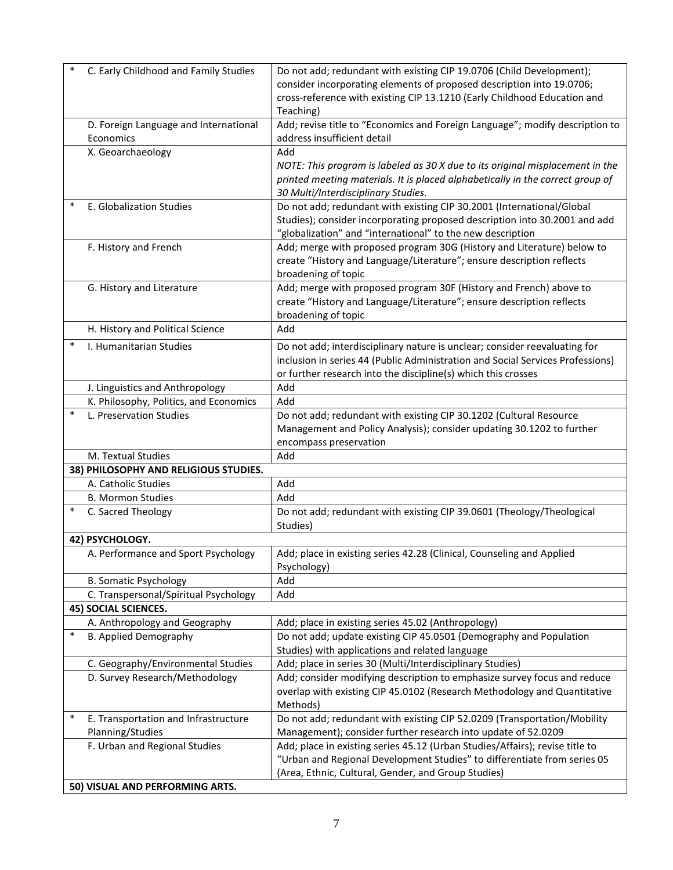|        | C. Early Childhood and Family Studies              | Do not add; redundant with existing CIP 19.0706 (Child Development);<br>consider incorporating elements of proposed description into 19.0706;<br>cross-reference with existing CIP 13.1210 (Early Childhood Education and<br>Teaching) |  |
|--------|----------------------------------------------------|----------------------------------------------------------------------------------------------------------------------------------------------------------------------------------------------------------------------------------------|--|
|        | D. Foreign Language and International<br>Economics | Add; revise title to "Economics and Foreign Language"; modify description to<br>address insufficient detail                                                                                                                            |  |
|        | X. Geoarchaeology                                  | Add<br>NOTE: This program is labeled as 30 X due to its original misplacement in the<br>printed meeting materials. It is placed alphabetically in the correct group of<br>30 Multi/Interdisciplinary Studies.                          |  |
|        | E. Globalization Studies                           | Do not add; redundant with existing CIP 30.2001 (International/Global<br>Studies); consider incorporating proposed description into 30.2001 and add<br>"globalization" and "international" to the new description                      |  |
|        | F. History and French                              | Add; merge with proposed program 30G (History and Literature) below to<br>create "History and Language/Literature"; ensure description reflects<br>broadening of topic                                                                 |  |
|        | G. History and Literature                          | Add; merge with proposed program 30F (History and French) above to<br>create "History and Language/Literature"; ensure description reflects<br>broadening of topic                                                                     |  |
|        | H. History and Political Science                   | Add                                                                                                                                                                                                                                    |  |
| $\ast$ | I. Humanitarian Studies                            | Do not add; interdisciplinary nature is unclear; consider reevaluating for<br>inclusion in series 44 (Public Administration and Social Services Professions)<br>or further research into the discipline(s) which this crosses          |  |
|        | J. Linguistics and Anthropology                    | Add                                                                                                                                                                                                                                    |  |
|        | K. Philosophy, Politics, and Economics             | Add                                                                                                                                                                                                                                    |  |
| $\ast$ | L. Preservation Studies                            | Do not add; redundant with existing CIP 30.1202 (Cultural Resource<br>Management and Policy Analysis); consider updating 30.1202 to further<br>encompass preservation                                                                  |  |
|        | M. Textual Studies                                 | Add                                                                                                                                                                                                                                    |  |
|        | 38) PHILOSOPHY AND RELIGIOUS STUDIES.              |                                                                                                                                                                                                                                        |  |
|        | A. Catholic Studies                                | Add                                                                                                                                                                                                                                    |  |
| $\ast$ | <b>B. Mormon Studies</b>                           | Add                                                                                                                                                                                                                                    |  |
|        | C. Sacred Theology                                 | Do not add; redundant with existing CIP 39.0601 (Theology/Theological<br>Studies)                                                                                                                                                      |  |
|        | 42) PSYCHOLOGY.                                    |                                                                                                                                                                                                                                        |  |
|        | A. Performance and Sport Psychology                | Add; place in existing series 42.28 (Clinical, Counseling and Applied<br>Psychology)                                                                                                                                                   |  |
|        | <b>B. Somatic Psychology</b>                       | Add                                                                                                                                                                                                                                    |  |
|        | C. Transpersonal/Spiritual Psychology              | Add                                                                                                                                                                                                                                    |  |
|        | <b>45) SOCIAL SCIENCES.</b>                        |                                                                                                                                                                                                                                        |  |
| $\ast$ | A. Anthropology and Geography                      | Add; place in existing series 45.02 (Anthropology)                                                                                                                                                                                     |  |
|        | <b>B. Applied Demography</b>                       | Do not add; update existing CIP 45.0501 (Demography and Population<br>Studies) with applications and related language                                                                                                                  |  |
|        | C. Geography/Environmental Studies                 | Add; place in series 30 (Multi/Interdisciplinary Studies)                                                                                                                                                                              |  |
|        | D. Survey Research/Methodology                     | Add; consider modifying description to emphasize survey focus and reduce<br>overlap with existing CIP 45.0102 (Research Methodology and Quantitative<br>Methods)                                                                       |  |
| $\ast$ | E. Transportation and Infrastructure               | Do not add; redundant with existing CIP 52.0209 (Transportation/Mobility                                                                                                                                                               |  |
|        | Planning/Studies                                   | Management); consider further research into update of 52.0209                                                                                                                                                                          |  |
|        | F. Urban and Regional Studies                      | Add; place in existing series 45.12 (Urban Studies/Affairs); revise title to<br>"Urban and Regional Development Studies" to differentiate from series 05<br>(Area, Ethnic, Cultural, Gender, and Group Studies)                        |  |
|        | 50) VISUAL AND PERFORMING ARTS.                    |                                                                                                                                                                                                                                        |  |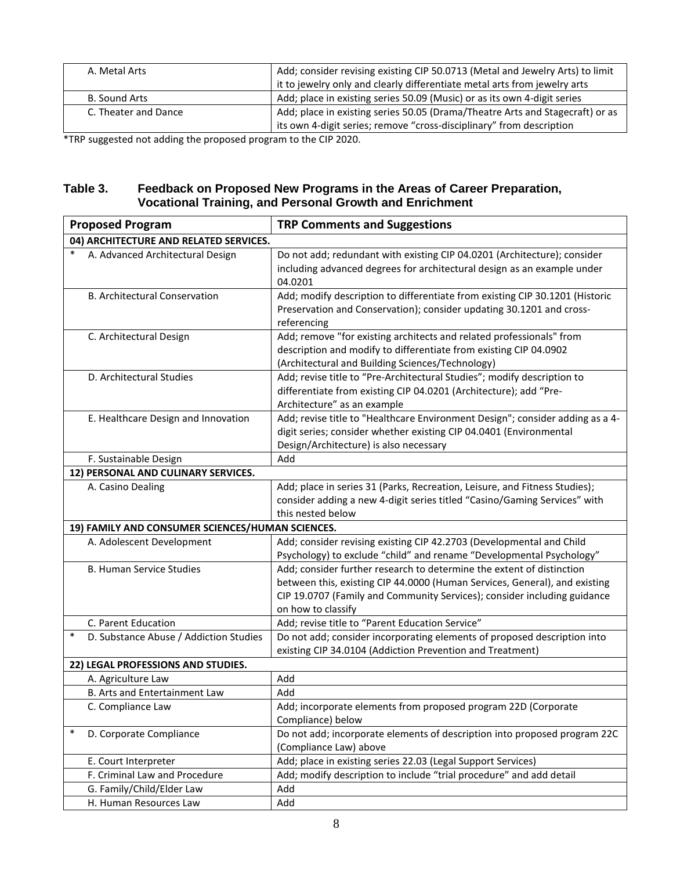| A. Metal Arts        | Add; consider revising existing CIP 50.0713 (Metal and Jewelry Arts) to limit |
|----------------------|-------------------------------------------------------------------------------|
|                      | it to jewelry only and clearly differentiate metal arts from jewelry arts     |
| B. Sound Arts        | Add; place in existing series 50.09 (Music) or as its own 4-digit series      |
| C. Theater and Dance | Add; place in existing series 50.05 (Drama/Theatre Arts and Stagecraft) or as |
|                      | its own 4-digit series; remove "cross-disciplinary" from description          |

\*TRP suggested not adding the proposed program to the CIP 2020.

## **Table 3. Feedback on Proposed New Programs in the Areas of Career Preparation, Vocational Training, and Personal Growth and Enrichment**

| <b>Proposed Program</b>                          | <b>TRP Comments and Suggestions</b>                                                                                                                                                                                                                   |  |
|--------------------------------------------------|-------------------------------------------------------------------------------------------------------------------------------------------------------------------------------------------------------------------------------------------------------|--|
| 04) ARCHITECTURE AND RELATED SERVICES.           |                                                                                                                                                                                                                                                       |  |
| $\ast$<br>A. Advanced Architectural Design       | Do not add; redundant with existing CIP 04.0201 (Architecture); consider<br>including advanced degrees for architectural design as an example under<br>04.0201                                                                                        |  |
| B. Architectural Conservation                    | Add; modify description to differentiate from existing CIP 30.1201 (Historic<br>Preservation and Conservation); consider updating 30.1201 and cross-<br>referencing                                                                                   |  |
| C. Architectural Design                          | Add; remove "for existing architects and related professionals" from<br>description and modify to differentiate from existing CIP 04.0902<br>(Architectural and Building Sciences/Technology)                                                         |  |
| D. Architectural Studies                         | Add; revise title to "Pre-Architectural Studies"; modify description to<br>differentiate from existing CIP 04.0201 (Architecture); add "Pre-<br>Architecture" as an example                                                                           |  |
| E. Healthcare Design and Innovation              | Add; revise title to "Healthcare Environment Design"; consider adding as a 4-<br>digit series; consider whether existing CIP 04.0401 (Environmental<br>Design/Architecture) is also necessary                                                         |  |
| F. Sustainable Design                            | Add                                                                                                                                                                                                                                                   |  |
| 12) PERSONAL AND CULINARY SERVICES.              |                                                                                                                                                                                                                                                       |  |
| A. Casino Dealing                                | Add; place in series 31 (Parks, Recreation, Leisure, and Fitness Studies);<br>consider adding a new 4-digit series titled "Casino/Gaming Services" with<br>this nested below                                                                          |  |
| 19) FAMILY AND CONSUMER SCIENCES/HUMAN SCIENCES. |                                                                                                                                                                                                                                                       |  |
| A. Adolescent Development                        | Add; consider revising existing CIP 42.2703 (Developmental and Child<br>Psychology) to exclude "child" and rename "Developmental Psychology"                                                                                                          |  |
| <b>B. Human Service Studies</b>                  | Add; consider further research to determine the extent of distinction<br>between this, existing CIP 44.0000 (Human Services, General), and existing<br>CIP 19.0707 (Family and Community Services); consider including guidance<br>on how to classify |  |
| C. Parent Education                              | Add; revise title to "Parent Education Service"                                                                                                                                                                                                       |  |
| $\ast$<br>D. Substance Abuse / Addiction Studies | Do not add; consider incorporating elements of proposed description into<br>existing CIP 34.0104 (Addiction Prevention and Treatment)                                                                                                                 |  |
| 22) LEGAL PROFESSIONS AND STUDIES.               |                                                                                                                                                                                                                                                       |  |
| A. Agriculture Law                               | Add                                                                                                                                                                                                                                                   |  |
| B. Arts and Entertainment Law                    | Add                                                                                                                                                                                                                                                   |  |
| C. Compliance Law                                | Add; incorporate elements from proposed program 22D (Corporate<br>Compliance) below                                                                                                                                                                   |  |
| $\ast$<br>D. Corporate Compliance                | Do not add; incorporate elements of description into proposed program 22C<br>(Compliance Law) above                                                                                                                                                   |  |
| E. Court Interpreter                             | Add; place in existing series 22.03 (Legal Support Services)                                                                                                                                                                                          |  |
| F. Criminal Law and Procedure                    | Add; modify description to include "trial procedure" and add detail                                                                                                                                                                                   |  |
| G. Family/Child/Elder Law                        | Add                                                                                                                                                                                                                                                   |  |
| H. Human Resources Law                           | Add                                                                                                                                                                                                                                                   |  |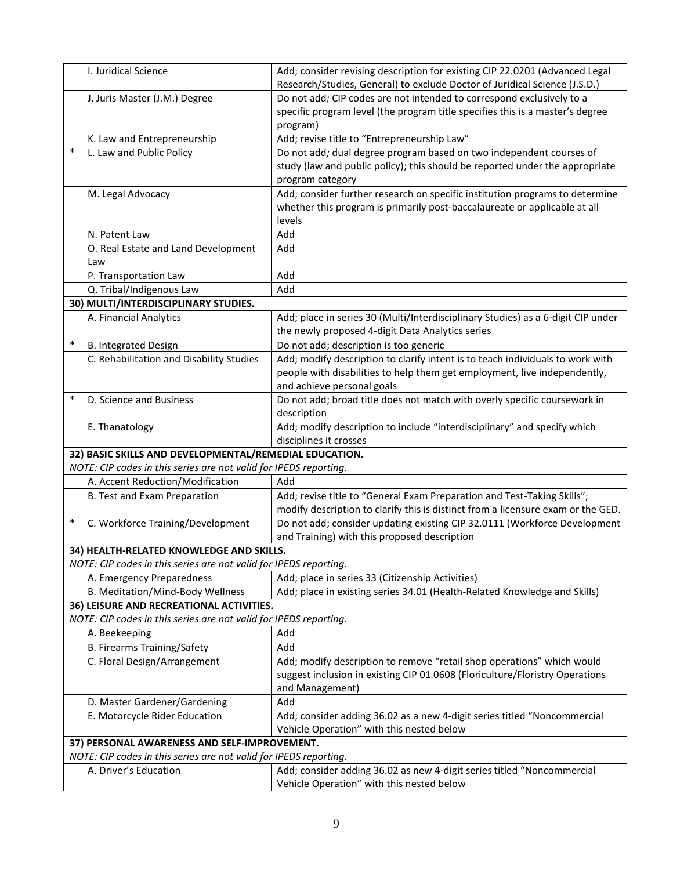| I. Juridical Science                  |                                                                                                                   | Add; consider revising description for existing CIP 22.0201 (Advanced Legal<br>Research/Studies, General) to exclude Doctor of Juridical Science (J.S.D.)                 |
|---------------------------------------|-------------------------------------------------------------------------------------------------------------------|---------------------------------------------------------------------------------------------------------------------------------------------------------------------------|
|                                       | J. Juris Master (J.M.) Degree                                                                                     | Do not add; CIP codes are not intended to correspond exclusively to a<br>specific program level (the program title specifies this is a master's degree                    |
|                                       |                                                                                                                   | program)                                                                                                                                                                  |
| $\ast$                                | K. Law and Entrepreneurship                                                                                       | Add; revise title to "Entrepreneurship Law"                                                                                                                               |
|                                       | L. Law and Public Policy                                                                                          | Do not add; dual degree program based on two independent courses of<br>study (law and public policy); this should be reported under the appropriate<br>program category   |
| M. Legal Advocacy                     |                                                                                                                   | Add; consider further research on specific institution programs to determine<br>whether this program is primarily post-baccalaureate or applicable at all<br>levels       |
| N. Patent Law                         |                                                                                                                   | Add                                                                                                                                                                       |
| Law                                   | O. Real Estate and Land Development                                                                               | Add                                                                                                                                                                       |
| P. Transportation Law                 |                                                                                                                   | Add                                                                                                                                                                       |
|                                       | Q. Tribal/Indigenous Law                                                                                          | Add                                                                                                                                                                       |
|                                       | 30) MULTI/INTERDISCIPLINARY STUDIES.                                                                              |                                                                                                                                                                           |
| A. Financial Analytics                |                                                                                                                   | Add; place in series 30 (Multi/Interdisciplinary Studies) as a 6-digit CIP under<br>the newly proposed 4-digit Data Analytics series                                      |
| $\ast$<br><b>B. Integrated Design</b> |                                                                                                                   | Do not add; description is too generic                                                                                                                                    |
|                                       | C. Rehabilitation and Disability Studies                                                                          | Add; modify description to clarify intent is to teach individuals to work with                                                                                            |
|                                       |                                                                                                                   | people with disabilities to help them get employment, live independently,<br>and achieve personal goals                                                                   |
| $\ast$                                | D. Science and Business                                                                                           | Do not add; broad title does not match with overly specific coursework in<br>description                                                                                  |
| E. Thanatology                        |                                                                                                                   | Add; modify description to include "interdisciplinary" and specify which<br>disciplines it crosses                                                                        |
|                                       | 32) BASIC SKILLS AND DEVELOPMENTAL/REMEDIAL EDUCATION.                                                            |                                                                                                                                                                           |
|                                       | NOTE: CIP codes in this series are not valid for IPEDS reporting.                                                 |                                                                                                                                                                           |
|                                       | A. Accent Reduction/Modification                                                                                  | Add                                                                                                                                                                       |
|                                       | B. Test and Exam Preparation                                                                                      | Add; revise title to "General Exam Preparation and Test-Taking Skills";<br>modify description to clarify this is distinct from a licensure exam or the GED.               |
| $\ast$                                | C. Workforce Training/Development                                                                                 | Do not add; consider updating existing CIP 32.0111 (Workforce Development<br>and Training) with this proposed description                                                 |
|                                       | 34) HEALTH-RELATED KNOWLEDGE AND SKILLS.                                                                          |                                                                                                                                                                           |
|                                       | NOTE: CIP codes in this series are not valid for IPEDS reporting.                                                 |                                                                                                                                                                           |
|                                       | A. Emergency Preparedness                                                                                         | Add; place in series 33 (Citizenship Activities)                                                                                                                          |
|                                       | B. Meditation/Mind-Body Wellness                                                                                  | Add; place in existing series 34.01 (Health-Related Knowledge and Skills)                                                                                                 |
|                                       | 36) LEISURE AND RECREATIONAL ACTIVITIES.                                                                          |                                                                                                                                                                           |
|                                       | NOTE: CIP codes in this series are not valid for IPEDS reporting.                                                 |                                                                                                                                                                           |
| A. Beekeeping                         |                                                                                                                   | Add                                                                                                                                                                       |
|                                       | B. Firearms Training/Safety                                                                                       | Add                                                                                                                                                                       |
|                                       | C. Floral Design/Arrangement                                                                                      | Add; modify description to remove "retail shop operations" which would<br>suggest inclusion in existing CIP 01.0608 (Floriculture/Floristry Operations<br>and Management) |
|                                       | D. Master Gardener/Gardening                                                                                      | Add                                                                                                                                                                       |
|                                       | E. Motorcycle Rider Education                                                                                     | Add; consider adding 36.02 as a new 4-digit series titled "Noncommercial<br>Vehicle Operation" with this nested below                                                     |
|                                       | 37) PERSONAL AWARENESS AND SELF-IMPROVEMENT.<br>NOTE: CIP codes in this series are not valid for IPEDS reporting. |                                                                                                                                                                           |
| A. Driver's Education                 |                                                                                                                   | Add; consider adding 36.02 as new 4-digit series titled "Noncommercial<br>Vehicle Operation" with this nested below                                                       |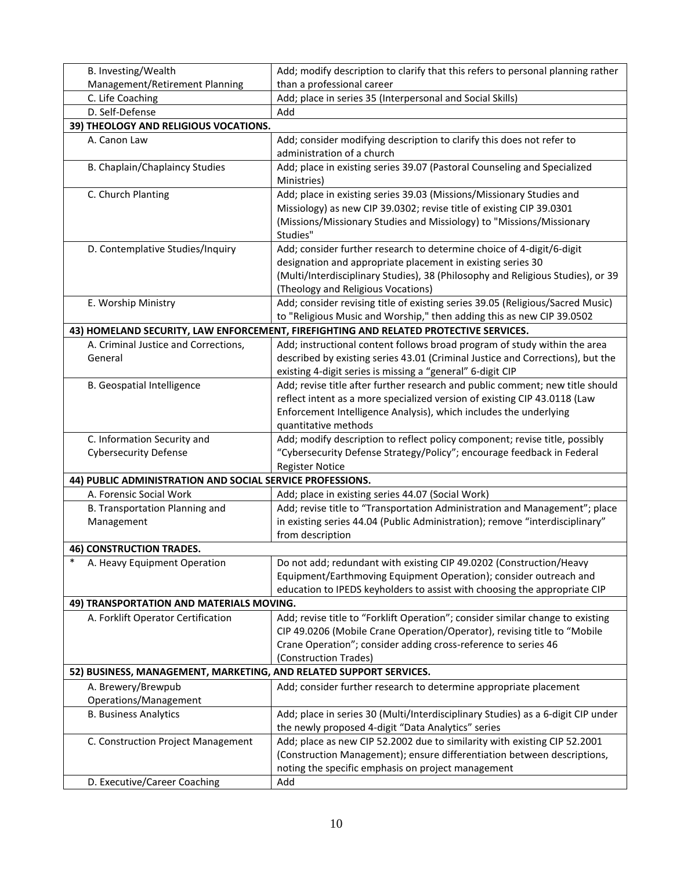| B. Investing/Wealth                                                | Add; modify description to clarify that this refers to personal planning rather                                                                                                                                                                               |
|--------------------------------------------------------------------|---------------------------------------------------------------------------------------------------------------------------------------------------------------------------------------------------------------------------------------------------------------|
| Management/Retirement Planning                                     | than a professional career                                                                                                                                                                                                                                    |
| C. Life Coaching                                                   | Add; place in series 35 (Interpersonal and Social Skills)                                                                                                                                                                                                     |
| D. Self-Defense                                                    | Add                                                                                                                                                                                                                                                           |
| 39) THEOLOGY AND RELIGIOUS VOCATIONS.                              |                                                                                                                                                                                                                                                               |
| A. Canon Law                                                       | Add; consider modifying description to clarify this does not refer to<br>administration of a church                                                                                                                                                           |
| B. Chaplain/Chaplaincy Studies                                     | Add; place in existing series 39.07 (Pastoral Counseling and Specialized<br>Ministries)                                                                                                                                                                       |
| C. Church Planting                                                 | Add; place in existing series 39.03 (Missions/Missionary Studies and<br>Missiology) as new CIP 39.0302; revise title of existing CIP 39.0301<br>(Missions/Missionary Studies and Missiology) to "Missions/Missionary<br>Studies"                              |
| D. Contemplative Studies/Inquiry                                   | Add; consider further research to determine choice of 4-digit/6-digit<br>designation and appropriate placement in existing series 30<br>(Multi/Interdisciplinary Studies), 38 (Philosophy and Religious Studies), or 39<br>(Theology and Religious Vocations) |
| E. Worship Ministry                                                | Add; consider revising title of existing series 39.05 (Religious/Sacred Music)<br>to "Religious Music and Worship," then adding this as new CIP 39.0502                                                                                                       |
|                                                                    | 43) HOMELAND SECURITY, LAW ENFORCEMENT, FIREFIGHTING AND RELATED PROTECTIVE SERVICES.                                                                                                                                                                         |
| A. Criminal Justice and Corrections,<br>General                    | Add; instructional content follows broad program of study within the area<br>described by existing series 43.01 (Criminal Justice and Corrections), but the<br>existing 4-digit series is missing a "general" 6-digit CIP                                     |
| <b>B. Geospatial Intelligence</b>                                  | Add; revise title after further research and public comment; new title should<br>reflect intent as a more specialized version of existing CIP 43.0118 (Law<br>Enforcement Intelligence Analysis), which includes the underlying<br>quantitative methods       |
| C. Information Security and                                        | Add; modify description to reflect policy component; revise title, possibly                                                                                                                                                                                   |
| <b>Cybersecurity Defense</b>                                       | "Cybersecurity Defense Strategy/Policy"; encourage feedback in Federal                                                                                                                                                                                        |
|                                                                    | <b>Register Notice</b>                                                                                                                                                                                                                                        |
| 44) PUBLIC ADMINISTRATION AND SOCIAL SERVICE PROFESSIONS.          |                                                                                                                                                                                                                                                               |
| A. Forensic Social Work                                            | Add; place in existing series 44.07 (Social Work)                                                                                                                                                                                                             |
| B. Transportation Planning and<br>Management                       | Add; revise title to "Transportation Administration and Management"; place<br>in existing series 44.04 (Public Administration); remove "interdisciplinary"<br>from description                                                                                |
| <b>46) CONSTRUCTION TRADES.</b>                                    |                                                                                                                                                                                                                                                               |
| $\ast$<br>A. Heavy Equipment Operation                             | Do not add; redundant with existing CIP 49.0202 (Construction/Heavy<br>Equipment/Earthmoving Equipment Operation); consider outreach and<br>education to IPEDS keyholders to assist with choosing the appropriate CIP                                         |
| 49) TRANSPORTATION AND MATERIALS MOVING.                           |                                                                                                                                                                                                                                                               |
| A. Forklift Operator Certification                                 | Add; revise title to "Forklift Operation"; consider similar change to existing<br>CIP 49.0206 (Mobile Crane Operation/Operator), revising title to "Mobile<br>Crane Operation"; consider adding cross-reference to series 46<br>(Construction Trades)         |
| 52) BUSINESS, MANAGEMENT, MARKETING, AND RELATED SUPPORT SERVICES. |                                                                                                                                                                                                                                                               |
| A. Brewery/Brewpub<br>Operations/Management                        | Add; consider further research to determine appropriate placement                                                                                                                                                                                             |
| <b>B. Business Analytics</b>                                       | Add; place in series 30 (Multi/Interdisciplinary Studies) as a 6-digit CIP under<br>the newly proposed 4-digit "Data Analytics" series                                                                                                                        |
| C. Construction Project Management                                 | Add; place as new CIP 52.2002 due to similarity with existing CIP 52.2001<br>(Construction Management); ensure differentiation between descriptions,<br>noting the specific emphasis on project management                                                    |
| D. Executive/Career Coaching                                       | Add                                                                                                                                                                                                                                                           |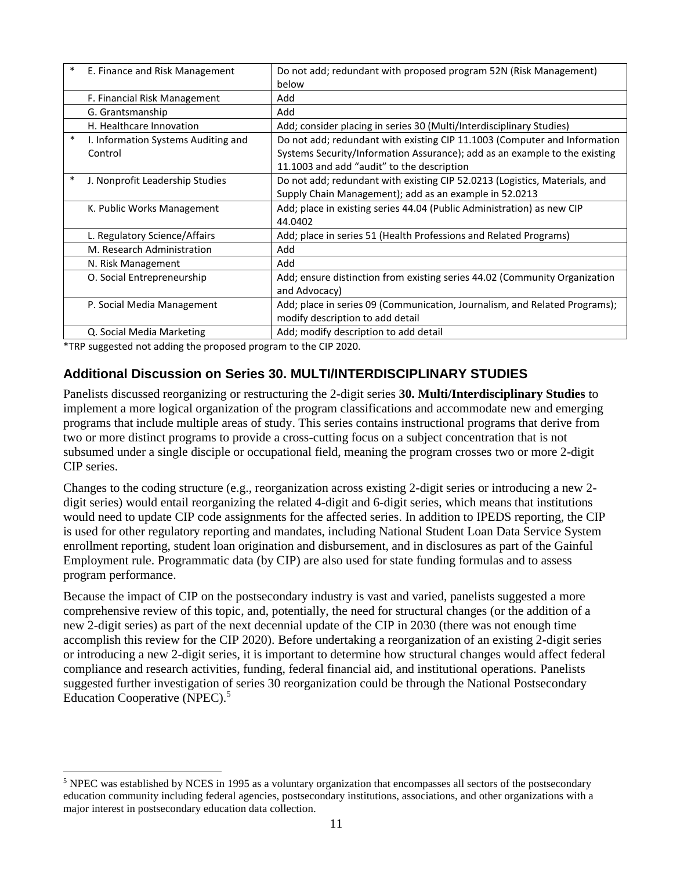| $\ast$ | E. Finance and Risk Management                 | Do not add; redundant with proposed program 52N (Risk Management)<br>below                                                                                                                            |
|--------|------------------------------------------------|-------------------------------------------------------------------------------------------------------------------------------------------------------------------------------------------------------|
|        | F. Financial Risk Management                   | Add                                                                                                                                                                                                   |
|        | G. Grantsmanship                               | Add                                                                                                                                                                                                   |
|        | H. Healthcare Innovation                       | Add; consider placing in series 30 (Multi/Interdisciplinary Studies)                                                                                                                                  |
| $\ast$ | I. Information Systems Auditing and<br>Control | Do not add; redundant with existing CIP 11.1003 (Computer and Information<br>Systems Security/Information Assurance); add as an example to the existing<br>11.1003 and add "audit" to the description |
| *      | J. Nonprofit Leadership Studies                | Do not add; redundant with existing CIP 52.0213 (Logistics, Materials, and<br>Supply Chain Management); add as an example in 52.0213                                                                  |
|        | K. Public Works Management                     | Add; place in existing series 44.04 (Public Administration) as new CIP<br>44.0402                                                                                                                     |
|        | L. Regulatory Science/Affairs                  | Add; place in series 51 (Health Professions and Related Programs)                                                                                                                                     |
|        | M. Research Administration                     | Add                                                                                                                                                                                                   |
|        | N. Risk Management                             | Add                                                                                                                                                                                                   |
|        | O. Social Entrepreneurship                     | Add; ensure distinction from existing series 44.02 (Community Organization<br>and Advocacy)                                                                                                           |
|        | P. Social Media Management                     | Add; place in series 09 (Communication, Journalism, and Related Programs);<br>modify description to add detail                                                                                        |
|        | Q. Social Media Marketing                      | Add; modify description to add detail                                                                                                                                                                 |

\*TRP suggested not adding the proposed program to the CIP 2020.

 $\overline{a}$ 

# **Additional Discussion on Series 30. MULTI/INTERDISCIPLINARY STUDIES**

Panelists discussed reorganizing or restructuring the 2-digit series **30. Multi/Interdisciplinary Studies** to implement a more logical organization of the program classifications and accommodate new and emerging programs that include multiple areas of study. This series contains instructional programs that derive from two or more distinct programs to provide a cross-cutting focus on a subject concentration that is not subsumed under a single disciple or occupational field, meaning the program crosses two or more 2-digit CIP series.

Changes to the coding structure (e.g., reorganization across existing 2-digit series or introducing a new 2 digit series) would entail reorganizing the related 4-digit and 6-digit series, which means that institutions would need to update CIP code assignments for the affected series. In addition to IPEDS reporting, the CIP is used for other regulatory reporting and mandates, including National Student Loan Data Service System enrollment reporting, student loan origination and disbursement, and in disclosures as part of the Gainful Employment rule. Programmatic data (by CIP) are also used for state funding formulas and to assess program performance.

Because the impact of CIP on the postsecondary industry is vast and varied, panelists suggested a more comprehensive review of this topic, and, potentially, the need for structural changes (or the addition of a new 2-digit series) as part of the next decennial update of the CIP in 2030 (there was not enough time accomplish this review for the CIP 2020). Before undertaking a reorganization of an existing 2-digit series or introducing a new 2-digit series, it is important to determine how structural changes would affect federal compliance and research activities, funding, federal financial aid, and institutional operations. Panelists suggested further investigation of series 30 reorganization could be through the National Postsecondary Education Cooperative (NPEC).<sup>5</sup>

 $5$  NPEC was established by NCES in 1995 as a voluntary organization that encompasses all sectors of the postsecondary education community including federal agencies, postsecondary institutions, associations, and other organizations with a major interest in postsecondary education data collection.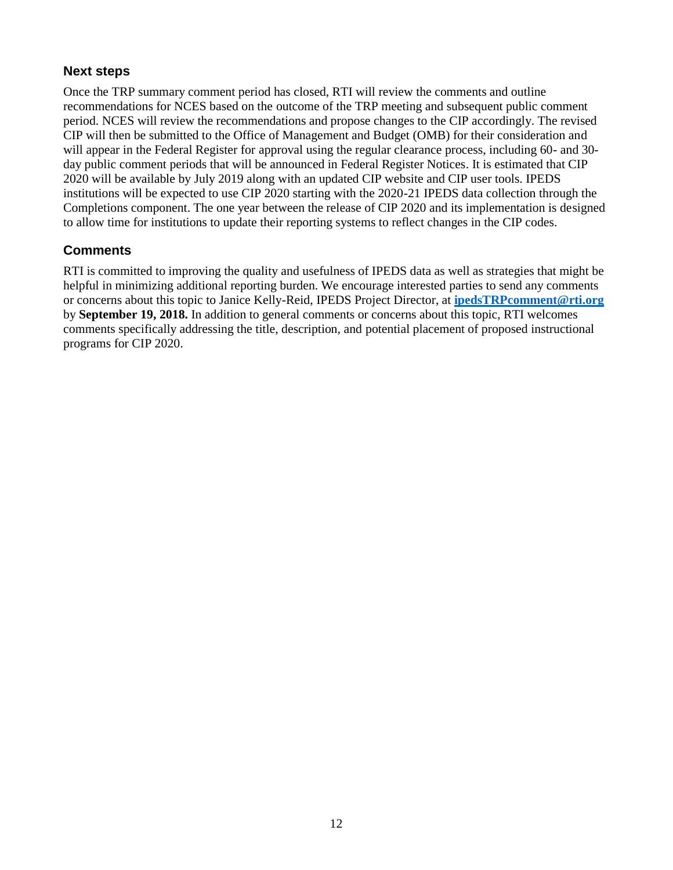## **Next steps**

Once the TRP summary comment period has closed, RTI will review the comments and outline recommendations for NCES based on the outcome of the TRP meeting and subsequent public comment period. NCES will review the recommendations and propose changes to the CIP accordingly. The revised CIP will then be submitted to the Office of Management and Budget (OMB) for their consideration and will appear in the Federal Register for approval using the regular clearance process, including 60- and 30 day public comment periods that will be announced in Federal Register Notices. It is estimated that CIP 2020 will be available by July 2019 along with an updated CIP website and CIP user tools. IPEDS institutions will be expected to use CIP 2020 starting with the 2020-21 IPEDS data collection through the Completions component. The one year between the release of CIP 2020 and its implementation is designed to allow time for institutions to update their reporting systems to reflect changes in the CIP codes.

## **Comments**

RTI is committed to improving the quality and usefulness of IPEDS data as well as strategies that might be helpful in minimizing additional reporting burden. We encourage interested parties to send any comments or concerns about this topic to Janice Kelly-Reid, IPEDS Project Director, at **[ipedsTRPcomment@rti.org](mailto:ipedsTRPcomment@rti.org)** by **September 19, 2018.** In addition to general comments or concerns about this topic, RTI welcomes comments specifically addressing the title, description, and potential placement of proposed instructional programs for CIP 2020.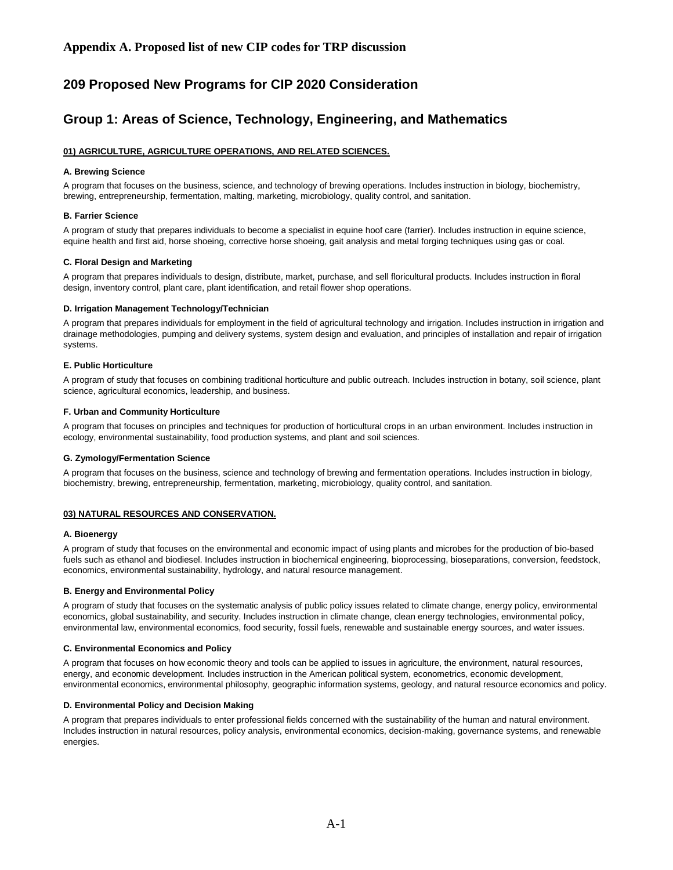# **209 Proposed New Programs for CIP 2020 Consideration**

## **Group 1: Areas of Science, Technology, Engineering, and Mathematics**

## **01) AGRICULTURE, AGRICULTURE OPERATIONS, AND RELATED SCIENCES.**

### **A. Brewing Science**

A program that focuses on the business, science, and technology of brewing operations. Includes instruction in biology, biochemistry, brewing, entrepreneurship, fermentation, malting, marketing, microbiology, quality control, and sanitation.

## **B. Farrier Science**

A program of study that prepares individuals to become a specialist in equine hoof care (farrier). Includes instruction in equine science, equine health and first aid, horse shoeing, corrective horse shoeing, gait analysis and metal forging techniques using gas or coal.

## **C. Floral Design and Marketing**

A program that prepares individuals to design, distribute, market, purchase, and sell floricultural products. Includes instruction in floral design, inventory control, plant care, plant identification, and retail flower shop operations.

## **D. Irrigation Management Technology/Technician**

A program that prepares individuals for employment in the field of agricultural technology and irrigation. Includes instruction in irrigation and drainage methodologies, pumping and delivery systems, system design and evaluation, and principles of installation and repair of irrigation systems.

#### **E. Public Horticulture**

A program of study that focuses on combining traditional horticulture and public outreach. Includes instruction in botany, soil science, plant science, agricultural economics, leadership, and business.

#### **F. Urban and Community Horticulture**

A program that focuses on principles and techniques for production of horticultural crops in an urban environment. Includes instruction in ecology, environmental sustainability, food production systems, and plant and soil sciences.

#### **G. Zymology/Fermentation Science**

A program that focuses on the business, science and technology of brewing and fermentation operations. Includes instruction in biology, biochemistry, brewing, entrepreneurship, fermentation, marketing, microbiology, quality control, and sanitation.

## **03) NATURAL RESOURCES AND CONSERVATION.**

#### **A. Bioenergy**

A program of study that focuses on the environmental and economic impact of using plants and microbes for the production of bio-based fuels such as ethanol and biodiesel. Includes instruction in biochemical engineering, bioprocessing, bioseparations, conversion, feedstock, economics, environmental sustainability, hydrology, and natural resource management.

#### **B. Energy and Environmental Policy**

A program of study that focuses on the systematic analysis of public policy issues related to climate change, energy policy, environmental economics, global sustainability, and security. Includes instruction in climate change, clean energy technologies, environmental policy, environmental law, environmental economics, food security, fossil fuels, renewable and sustainable energy sources, and water issues.

#### **C. Environmental Economics and Policy**

A program that focuses on how economic theory and tools can be applied to issues in agriculture, the environment, natural resources, energy, and economic development. Includes instruction in the American political system, econometrics, economic development, environmental economics, environmental philosophy, geographic information systems, geology, and natural resource economics and policy.

## **D. Environmental Policy and Decision Making**

A program that prepares individuals to enter professional fields concerned with the sustainability of the human and natural environment. Includes instruction in natural resources, policy analysis, environmental economics, decision-making, governance systems, and renewable energies.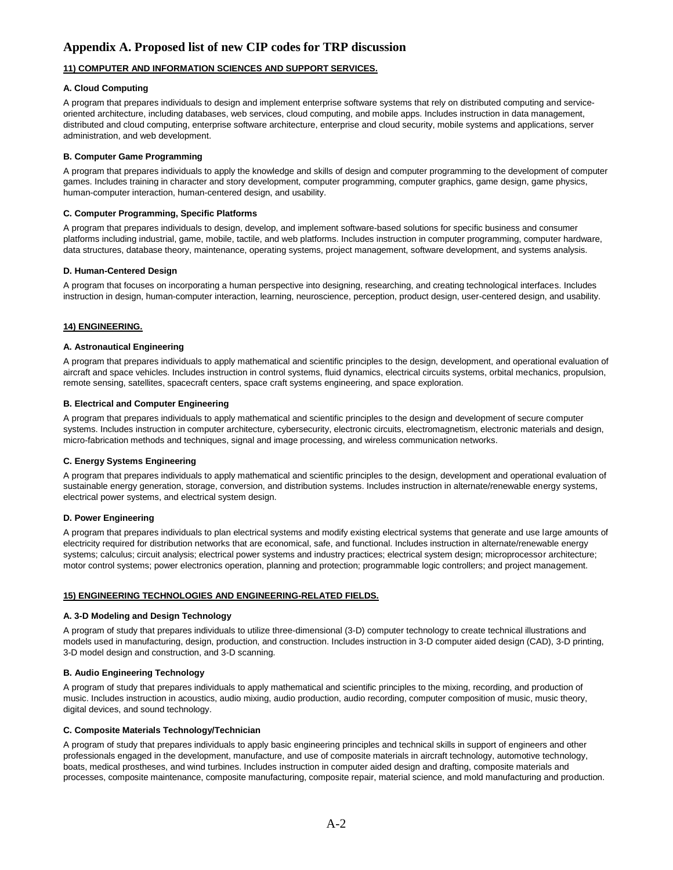## **11) COMPUTER AND INFORMATION SCIENCES AND SUPPORT SERVICES.**

### **A. Cloud Computing**

A program that prepares individuals to design and implement enterprise software systems that rely on distributed computing and serviceoriented architecture, including databases, web services, cloud computing, and mobile apps. Includes instruction in data management, distributed and cloud computing, enterprise software architecture, enterprise and cloud security, mobile systems and applications, server administration, and web development.

### **B. Computer Game Programming**

A program that prepares individuals to apply the knowledge and skills of design and computer programming to the development of computer games. Includes training in character and story development, computer programming, computer graphics, game design, game physics, human-computer interaction, human-centered design, and usability.

### **C. Computer Programming, Specific Platforms**

A program that prepares individuals to design, develop, and implement software-based solutions for specific business and consumer platforms including industrial, game, mobile, tactile, and web platforms. Includes instruction in computer programming, computer hardware, data structures, database theory, maintenance, operating systems, project management, software development, and systems analysis.

## **D. Human-Centered Design**

A program that focuses on incorporating a human perspective into designing, researching, and creating technological interfaces. Includes instruction in design, human-computer interaction, learning, neuroscience, perception, product design, user-centered design, and usability.

## **14) ENGINEERING.**

#### **A. Astronautical Engineering**

A program that prepares individuals to apply mathematical and scientific principles to the design, development, and operational evaluation of aircraft and space vehicles. Includes instruction in control systems, fluid dynamics, electrical circuits systems, orbital mechanics, propulsion, remote sensing, satellites, spacecraft centers, space craft systems engineering, and space exploration.

## **B. Electrical and Computer Engineering**

A program that prepares individuals to apply mathematical and scientific principles to the design and development of secure computer systems. Includes instruction in computer architecture, cybersecurity, electronic circuits, electromagnetism, electronic materials and design, micro-fabrication methods and techniques, signal and image processing, and wireless communication networks.

#### **C. Energy Systems Engineering**

A program that prepares individuals to apply mathematical and scientific principles to the design, development and operational evaluation of sustainable energy generation, storage, conversion, and distribution systems. Includes instruction in alternate/renewable energy systems, electrical power systems, and electrical system design.

## **D. Power Engineering**

A program that prepares individuals to plan electrical systems and modify existing electrical systems that generate and use large amounts of electricity required for distribution networks that are economical, safe, and functional. Includes instruction in alternate/renewable energy systems; calculus; circuit analysis; electrical power systems and industry practices; electrical system design; microprocessor architecture; motor control systems; power electronics operation, planning and protection; programmable logic controllers; and project management.

### **15) ENGINEERING TECHNOLOGIES AND ENGINEERING-RELATED FIELDS.**

## **A. 3-D Modeling and Design Technology**

A program of study that prepares individuals to utilize three-dimensional (3-D) computer technology to create technical illustrations and models used in manufacturing, design, production, and construction. Includes instruction in 3-D computer aided design (CAD), 3-D printing, 3-D model design and construction, and 3-D scanning.

#### **B. Audio Engineering Technology**

A program of study that prepares individuals to apply mathematical and scientific principles to the mixing, recording, and production of music. Includes instruction in acoustics, audio mixing, audio production, audio recording, computer composition of music, music theory, digital devices, and sound technology.

#### **C. Composite Materials Technology/Technician**

A program of study that prepares individuals to apply basic engineering principles and technical skills in support of engineers and other professionals engaged in the development, manufacture, and use of composite materials in aircraft technology, automotive technology, boats, medical prostheses, and wind turbines. Includes instruction in computer aided design and drafting, composite materials and processes, composite maintenance, composite manufacturing, composite repair, material science, and mold manufacturing and production.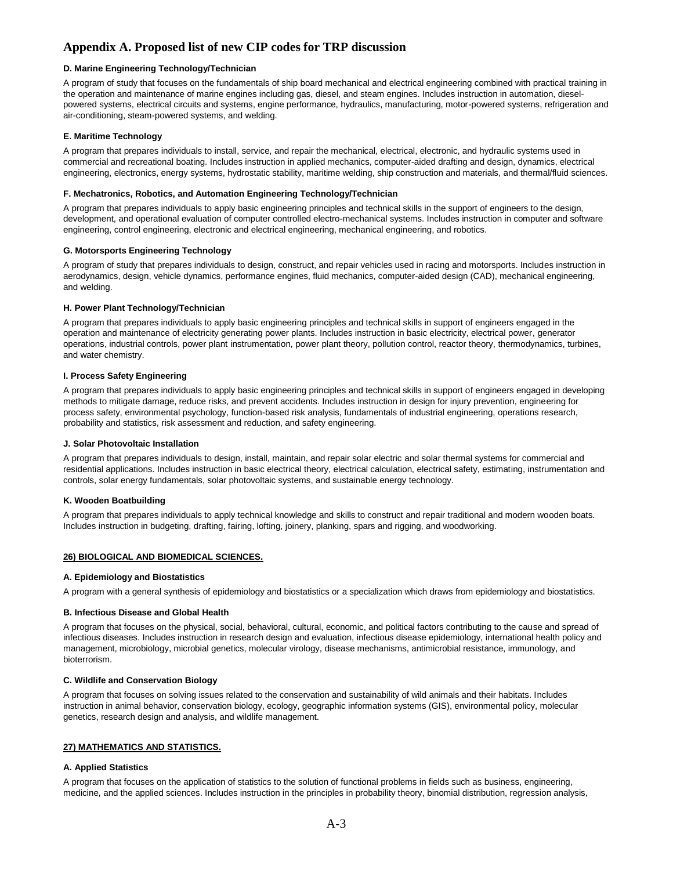## **D. Marine Engineering Technology/Technician**

A program of study that focuses on the fundamentals of ship board mechanical and electrical engineering combined with practical training in the operation and maintenance of marine engines including gas, diesel, and steam engines. Includes instruction in automation, dieselpowered systems, electrical circuits and systems, engine performance, hydraulics, manufacturing, motor-powered systems, refrigeration and air-conditioning, steam-powered systems, and welding.

## **E. Maritime Technology**

A program that prepares individuals to install, service, and repair the mechanical, electrical, electronic, and hydraulic systems used in commercial and recreational boating. Includes instruction in applied mechanics, computer-aided drafting and design, dynamics, electrical engineering, electronics, energy systems, hydrostatic stability, maritime welding, ship construction and materials, and thermal/fluid sciences.

### **F. Mechatronics, Robotics, and Automation Engineering Technology/Technician**

A program that prepares individuals to apply basic engineering principles and technical skills in the support of engineers to the design, development, and operational evaluation of computer controlled electro-mechanical systems. Includes instruction in computer and software engineering, control engineering, electronic and electrical engineering, mechanical engineering, and robotics.

## **G. Motorsports Engineering Technology**

A program of study that prepares individuals to design, construct, and repair vehicles used in racing and motorsports. Includes instruction in aerodynamics, design, vehicle dynamics, performance engines, fluid mechanics, computer-aided design (CAD), mechanical engineering, and welding.

#### **H. Power Plant Technology/Technician**

A program that prepares individuals to apply basic engineering principles and technical skills in support of engineers engaged in the operation and maintenance of electricity generating power plants. Includes instruction in basic electricity, electrical power, generator operations, industrial controls, power plant instrumentation, power plant theory, pollution control, reactor theory, thermodynamics, turbines, and water chemistry.

#### **I. Process Safety Engineering**

A program that prepares individuals to apply basic engineering principles and technical skills in support of engineers engaged in developing methods to mitigate damage, reduce risks, and prevent accidents. Includes instruction in design for injury prevention, engineering for process safety, environmental psychology, function-based risk analysis, fundamentals of industrial engineering, operations research, probability and statistics, risk assessment and reduction, and safety engineering.

#### **J. Solar Photovoltaic Installation**

A program that prepares individuals to design, install, maintain, and repair solar electric and solar thermal systems for commercial and residential applications. Includes instruction in basic electrical theory, electrical calculation, electrical safety, estimating, instrumentation and controls, solar energy fundamentals, solar photovoltaic systems, and sustainable energy technology.

#### **K. Wooden Boatbuilding**

A program that prepares individuals to apply technical knowledge and skills to construct and repair traditional and modern wooden boats. Includes instruction in budgeting, drafting, fairing, lofting, joinery, planking, spars and rigging, and woodworking.

## **26) BIOLOGICAL AND BIOMEDICAL SCIENCES.**

#### **A. Epidemiology and Biostatistics**

A program with a general synthesis of epidemiology and biostatistics or a specialization which draws from epidemiology and biostatistics.

#### **B. Infectious Disease and Global Health**

A program that focuses on the physical, social, behavioral, cultural, economic, and political factors contributing to the cause and spread of infectious diseases. Includes instruction in research design and evaluation, infectious disease epidemiology, international health policy and management, microbiology, microbial genetics, molecular virology, disease mechanisms, antimicrobial resistance, immunology, and bioterrorism.

#### **C. Wildlife and Conservation Biology**

A program that focuses on solving issues related to the conservation and sustainability of wild animals and their habitats. Includes instruction in animal behavior, conservation biology, ecology, geographic information systems (GIS), environmental policy, molecular genetics, research design and analysis, and wildlife management.

#### **27) MATHEMATICS AND STATISTICS.**

## **A. Applied Statistics**

A program that focuses on the application of statistics to the solution of functional problems in fields such as business, engineering, medicine, and the applied sciences. Includes instruction in the principles in probability theory, binomial distribution, regression analysis,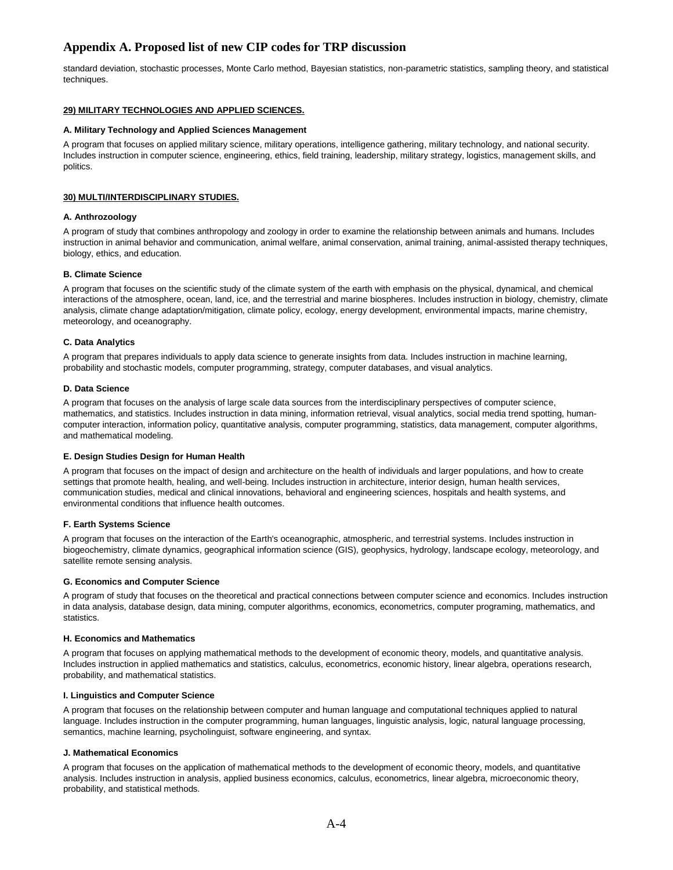standard deviation, stochastic processes, Monte Carlo method, Bayesian statistics, non-parametric statistics, sampling theory, and statistical techniques.

## **29) MILITARY TECHNOLOGIES AND APPLIED SCIENCES.**

#### **A. Military Technology and Applied Sciences Management**

A program that focuses on applied military science, military operations, intelligence gathering, military technology, and national security. Includes instruction in computer science, engineering, ethics, field training, leadership, military strategy, logistics, management skills, and politics.

#### **30) MULTI/INTERDISCIPLINARY STUDIES.**

#### **A. Anthrozoology**

A program of study that combines anthropology and zoology in order to examine the relationship between animals and humans. Includes instruction in animal behavior and communication, animal welfare, animal conservation, animal training, animal-assisted therapy techniques, biology, ethics, and education.

#### **B. Climate Science**

A program that focuses on the scientific study of the climate system of the earth with emphasis on the physical, dynamical, and chemical interactions of the atmosphere, ocean, land, ice, and the terrestrial and marine biospheres. Includes instruction in biology, chemistry, climate analysis, climate change adaptation/mitigation, climate policy, ecology, energy development, environmental impacts, marine chemistry, meteorology, and oceanography.

#### **C. Data Analytics**

A program that prepares individuals to apply data science to generate insights from data. Includes instruction in machine learning, probability and stochastic models, computer programming, strategy, computer databases, and visual analytics.

#### **D. Data Science**

A program that focuses on the analysis of large scale data sources from the interdisciplinary perspectives of computer science, mathematics, and statistics. Includes instruction in data mining, information retrieval, visual analytics, social media trend spotting, humancomputer interaction, information policy, quantitative analysis, computer programming, statistics, data management, computer algorithms, and mathematical modeling.

#### **E. Design Studies Design for Human Health**

A program that focuses on the impact of design and architecture on the health of individuals and larger populations, and how to create settings that promote health, healing, and well-being. Includes instruction in architecture, interior design, human health services, communication studies, medical and clinical innovations, behavioral and engineering sciences, hospitals and health systems, and environmental conditions that influence health outcomes.

#### **F. Earth Systems Science**

A program that focuses on the interaction of the Earth's oceanographic, atmospheric, and terrestrial systems. Includes instruction in biogeochemistry, climate dynamics, geographical information science (GIS), geophysics, hydrology, landscape ecology, meteorology, and satellite remote sensing analysis.

#### **G. Economics and Computer Science**

A program of study that focuses on the theoretical and practical connections between computer science and economics. Includes instruction in data analysis, database design, data mining, computer algorithms, economics, econometrics, computer programing, mathematics, and statistics.

#### **H. Economics and Mathematics**

A program that focuses on applying mathematical methods to the development of economic theory, models, and quantitative analysis. Includes instruction in applied mathematics and statistics, calculus, econometrics, economic history, linear algebra, operations research, probability, and mathematical statistics.

#### **I. Linguistics and Computer Science**

A program that focuses on the relationship between computer and human language and computational techniques applied to natural language. Includes instruction in the computer programming, human languages, linguistic analysis, logic, natural language processing, semantics, machine learning, psycholinguist, software engineering, and syntax.

#### **J. Mathematical Economics**

A program that focuses on the application of mathematical methods to the development of economic theory, models, and quantitative analysis. Includes instruction in analysis, applied business economics, calculus, econometrics, linear algebra, microeconomic theory, probability, and statistical methods.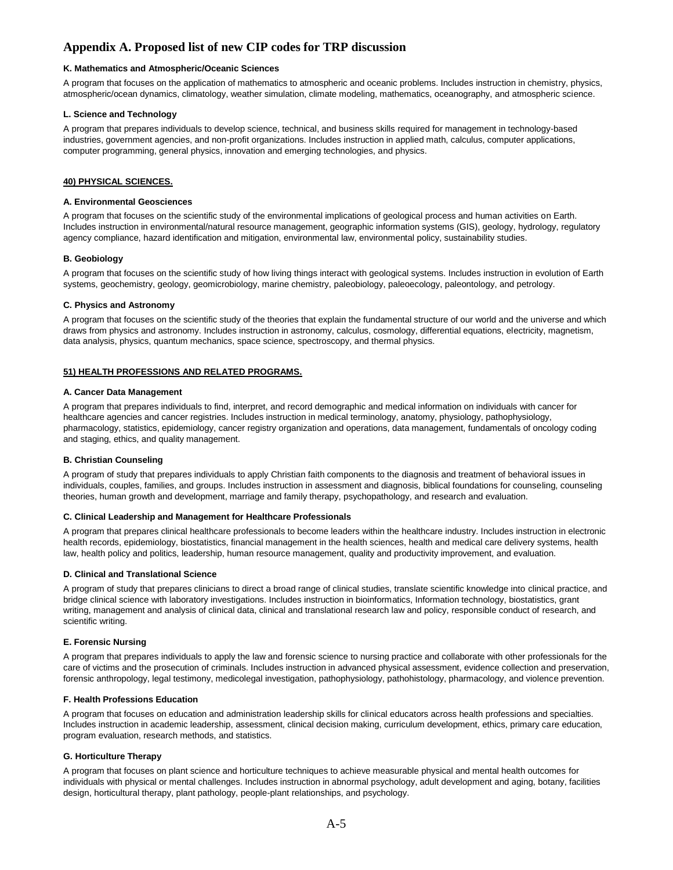### **K. Mathematics and Atmospheric/Oceanic Sciences**

A program that focuses on the application of mathematics to atmospheric and oceanic problems. Includes instruction in chemistry, physics, atmospheric/ocean dynamics, climatology, weather simulation, climate modeling, mathematics, oceanography, and atmospheric science.

#### **L. Science and Technology**

A program that prepares individuals to develop science, technical, and business skills required for management in technology-based industries, government agencies, and non-profit organizations. Includes instruction in applied math, calculus, computer applications, computer programming, general physics, innovation and emerging technologies, and physics.

### **40) PHYSICAL SCIENCES.**

#### **A. Environmental Geosciences**

A program that focuses on the scientific study of the environmental implications of geological process and human activities on Earth. Includes instruction in environmental/natural resource management, geographic information systems (GIS), geology, hydrology, regulatory agency compliance, hazard identification and mitigation, environmental law, environmental policy, sustainability studies.

#### **B. Geobiology**

A program that focuses on the scientific study of how living things interact with geological systems. Includes instruction in evolution of Earth systems, geochemistry, geology, geomicrobiology, marine chemistry, paleobiology, paleoecology, paleontology, and petrology.

#### **C. Physics and Astronomy**

A program that focuses on the scientific study of the theories that explain the fundamental structure of our world and the universe and which draws from physics and astronomy. Includes instruction in astronomy, calculus, cosmology, differential equations, electricity, magnetism, data analysis, physics, quantum mechanics, space science, spectroscopy, and thermal physics.

#### **51) HEALTH PROFESSIONS AND RELATED PROGRAMS.**

#### **A. Cancer Data Management**

A program that prepares individuals to find, interpret, and record demographic and medical information on individuals with cancer for healthcare agencies and cancer registries. Includes instruction in medical terminology, anatomy, physiology, pathophysiology, pharmacology, statistics, epidemiology, cancer registry organization and operations, data management, fundamentals of oncology coding and staging, ethics, and quality management.

#### **B. Christian Counseling**

A program of study that prepares individuals to apply Christian faith components to the diagnosis and treatment of behavioral issues in individuals, couples, families, and groups. Includes instruction in assessment and diagnosis, biblical foundations for counseling, counseling theories, human growth and development, marriage and family therapy, psychopathology, and research and evaluation.

#### **C. Clinical Leadership and Management for Healthcare Professionals**

A program that prepares clinical healthcare professionals to become leaders within the healthcare industry. Includes instruction in electronic health records, epidemiology, biostatistics, financial management in the health sciences, health and medical care delivery systems, health law, health policy and politics, leadership, human resource management, quality and productivity improvement, and evaluation.

#### **D. Clinical and Translational Science**

A program of study that prepares clinicians to direct a broad range of clinical studies, translate scientific knowledge into clinical practice, and bridge clinical science with laboratory investigations. Includes instruction in bioinformatics, Information technology, biostatistics, grant writing, management and analysis of clinical data, clinical and translational research law and policy, responsible conduct of research, and scientific writing.

#### **E. Forensic Nursing**

A program that prepares individuals to apply the law and forensic science to nursing practice and collaborate with other professionals for the care of victims and the prosecution of criminals. Includes instruction in advanced physical assessment, evidence collection and preservation, forensic anthropology, legal testimony, medicolegal investigation, pathophysiology, pathohistology, pharmacology, and violence prevention.

## **F. Health Professions Education**

A program that focuses on education and administration leadership skills for clinical educators across health professions and specialties. Includes instruction in academic leadership, assessment, clinical decision making, curriculum development, ethics, primary care education, program evaluation, research methods, and statistics.

#### **G. Horticulture Therapy**

A program that focuses on plant science and horticulture techniques to achieve measurable physical and mental health outcomes for individuals with physical or mental challenges. Includes instruction in abnormal psychology, adult development and aging, botany, facilities design, horticultural therapy, plant pathology, people-plant relationships, and psychology.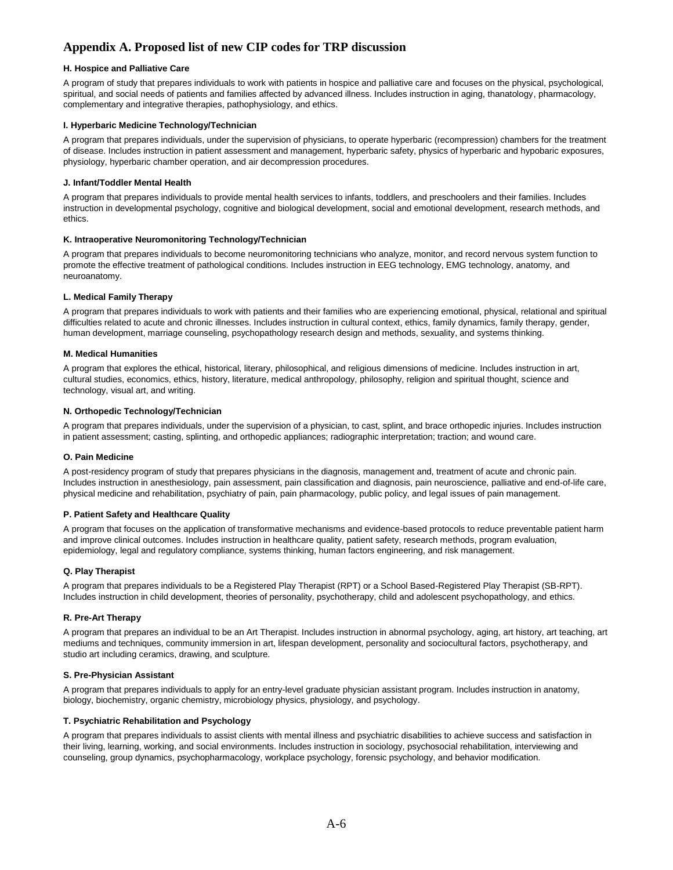## **H. Hospice and Palliative Care**

A program of study that prepares individuals to work with patients in hospice and palliative care and focuses on the physical, psychological, spiritual, and social needs of patients and families affected by advanced illness. Includes instruction in aging, thanatology, pharmacology, complementary and integrative therapies, pathophysiology, and ethics.

## **I. Hyperbaric Medicine Technology/Technician**

A program that prepares individuals, under the supervision of physicians, to operate hyperbaric (recompression) chambers for the treatment of disease. Includes instruction in patient assessment and management, hyperbaric safety, physics of hyperbaric and hypobaric exposures, physiology, hyperbaric chamber operation, and air decompression procedures.

### **J. Infant/Toddler Mental Health**

A program that prepares individuals to provide mental health services to infants, toddlers, and preschoolers and their families. Includes instruction in developmental psychology, cognitive and biological development, social and emotional development, research methods, and ethics.

### **K. Intraoperative Neuromonitoring Technology/Technician**

A program that prepares individuals to become neuromonitoring technicians who analyze, monitor, and record nervous system function to promote the effective treatment of pathological conditions. Includes instruction in EEG technology, EMG technology, anatomy, and neuroanatomy.

## **L. Medical Family Therapy**

A program that prepares individuals to work with patients and their families who are experiencing emotional, physical, relational and spiritual difficulties related to acute and chronic illnesses. Includes instruction in cultural context, ethics, family dynamics, family therapy, gender, human development, marriage counseling, psychopathology research design and methods, sexuality, and systems thinking.

## **M. Medical Humanities**

A program that explores the ethical, historical, literary, philosophical, and religious dimensions of medicine. Includes instruction in art, cultural studies, economics, ethics, history, literature, medical anthropology, philosophy, religion and spiritual thought, science and technology, visual art, and writing.

## **N. Orthopedic Technology/Technician**

A program that prepares individuals, under the supervision of a physician, to cast, splint, and brace orthopedic injuries. Includes instruction in patient assessment; casting, splinting, and orthopedic appliances; radiographic interpretation; traction; and wound care.

#### **O. Pain Medicine**

A post-residency program of study that prepares physicians in the diagnosis, management and, treatment of acute and chronic pain. Includes instruction in anesthesiology, pain assessment, pain classification and diagnosis, pain neuroscience, palliative and end-of-life care, physical medicine and rehabilitation, psychiatry of pain, pain pharmacology, public policy, and legal issues of pain management.

### **P. Patient Safety and Healthcare Quality**

A program that focuses on the application of transformative mechanisms and evidence-based protocols to reduce preventable patient harm and improve clinical outcomes. Includes instruction in healthcare quality, patient safety, research methods, program evaluation, epidemiology, legal and regulatory compliance, systems thinking, human factors engineering, and risk management.

#### **Q. Play Therapist**

A program that prepares individuals to be a Registered Play Therapist (RPT) or a School Based-Registered Play Therapist (SB-RPT). Includes instruction in child development, theories of personality, psychotherapy, child and adolescent psychopathology, and ethics.

#### **R. Pre-Art Therapy**

A program that prepares an individual to be an Art Therapist. Includes instruction in abnormal psychology, aging, art history, art teaching, art mediums and techniques, community immersion in art, lifespan development, personality and sociocultural factors, psychotherapy, and studio art including ceramics, drawing, and sculpture.

#### **S. Pre-Physician Assistant**

A program that prepares individuals to apply for an entry-level graduate physician assistant program. Includes instruction in anatomy, biology, biochemistry, organic chemistry, microbiology physics, physiology, and psychology.

#### **T. Psychiatric Rehabilitation and Psychology**

A program that prepares individuals to assist clients with mental illness and psychiatric disabilities to achieve success and satisfaction in their living, learning, working, and social environments. Includes instruction in sociology, psychosocial rehabilitation, interviewing and counseling, group dynamics, psychopharmacology, workplace psychology, forensic psychology, and behavior modification.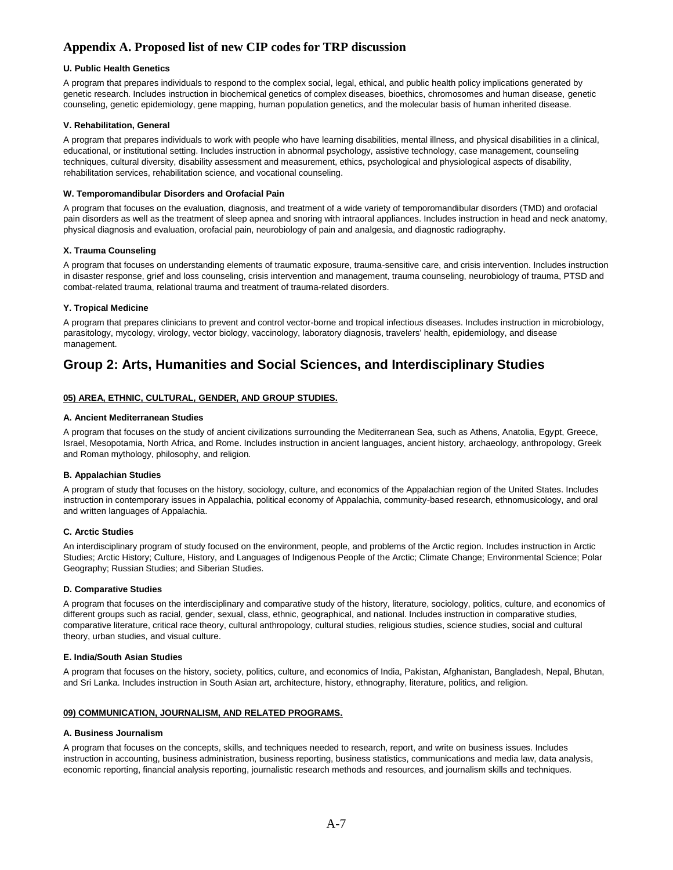## **U. Public Health Genetics**

A program that prepares individuals to respond to the complex social, legal, ethical, and public health policy implications generated by genetic research. Includes instruction in biochemical genetics of complex diseases, bioethics, chromosomes and human disease, genetic counseling, genetic epidemiology, gene mapping, human population genetics, and the molecular basis of human inherited disease.

## **V. Rehabilitation, General**

A program that prepares individuals to work with people who have learning disabilities, mental illness, and physical disabilities in a clinical, educational, or institutional setting. Includes instruction in abnormal psychology, assistive technology, case management, counseling techniques, cultural diversity, disability assessment and measurement, ethics, psychological and physiological aspects of disability, rehabilitation services, rehabilitation science, and vocational counseling.

## **W. Temporomandibular Disorders and Orofacial Pain**

A program that focuses on the evaluation, diagnosis, and treatment of a wide variety of temporomandibular disorders (TMD) and orofacial pain disorders as well as the treatment of sleep apnea and snoring with intraoral appliances. Includes instruction in head and neck anatomy, physical diagnosis and evaluation, orofacial pain, neurobiology of pain and analgesia, and diagnostic radiography.

## **X. Trauma Counseling**

A program that focuses on understanding elements of traumatic exposure, trauma-sensitive care, and crisis intervention. Includes instruction in disaster response, grief and loss counseling, crisis intervention and management, trauma counseling, neurobiology of trauma, PTSD and combat-related trauma, relational trauma and treatment of trauma-related disorders.

## **Y. Tropical Medicine**

A program that prepares clinicians to prevent and control vector-borne and tropical infectious diseases. Includes instruction in microbiology, parasitology, mycology, virology, vector biology, vaccinology, laboratory diagnosis, travelers' health, epidemiology, and disease management.

## **Group 2: Arts, Humanities and Social Sciences, and Interdisciplinary Studies**

## **05) AREA, ETHNIC, CULTURAL, GENDER, AND GROUP STUDIES.**

#### **A. Ancient Mediterranean Studies**

A program that focuses on the study of ancient civilizations surrounding the Mediterranean Sea, such as Athens, Anatolia, Egypt, Greece, Israel, Mesopotamia, North Africa, and Rome. Includes instruction in ancient languages, ancient history, archaeology, anthropology, Greek and Roman mythology, philosophy, and religion.

#### **B. Appalachian Studies**

A program of study that focuses on the history, sociology, culture, and economics of the Appalachian region of the United States. Includes instruction in contemporary issues in Appalachia, political economy of Appalachia, community-based research, ethnomusicology, and oral and written languages of Appalachia.

#### **C. Arctic Studies**

An interdisciplinary program of study focused on the environment, people, and problems of the Arctic region. Includes instruction in Arctic Studies; Arctic History; Culture, History, and Languages of Indigenous People of the Arctic; Climate Change; Environmental Science; Polar Geography; Russian Studies; and Siberian Studies.

#### **D. Comparative Studies**

A program that focuses on the interdisciplinary and comparative study of the history, literature, sociology, politics, culture, and economics of different groups such as racial, gender, sexual, class, ethnic, geographical, and national. Includes instruction in comparative studies, comparative literature, critical race theory, cultural anthropology, cultural studies, religious studies, science studies, social and cultural theory, urban studies, and visual culture.

#### **E. India/South Asian Studies**

A program that focuses on the history, society, politics, culture, and economics of India, Pakistan, Afghanistan, Bangladesh, Nepal, Bhutan, and Sri Lanka. Includes instruction in South Asian art, architecture, history, ethnography, literature, politics, and religion.

## **09) COMMUNICATION, JOURNALISM, AND RELATED PROGRAMS.**

#### **A. Business Journalism**

A program that focuses on the concepts, skills, and techniques needed to research, report, and write on business issues. Includes instruction in accounting, business administration, business reporting, business statistics, communications and media law, data analysis, economic reporting, financial analysis reporting, journalistic research methods and resources, and journalism skills and techniques.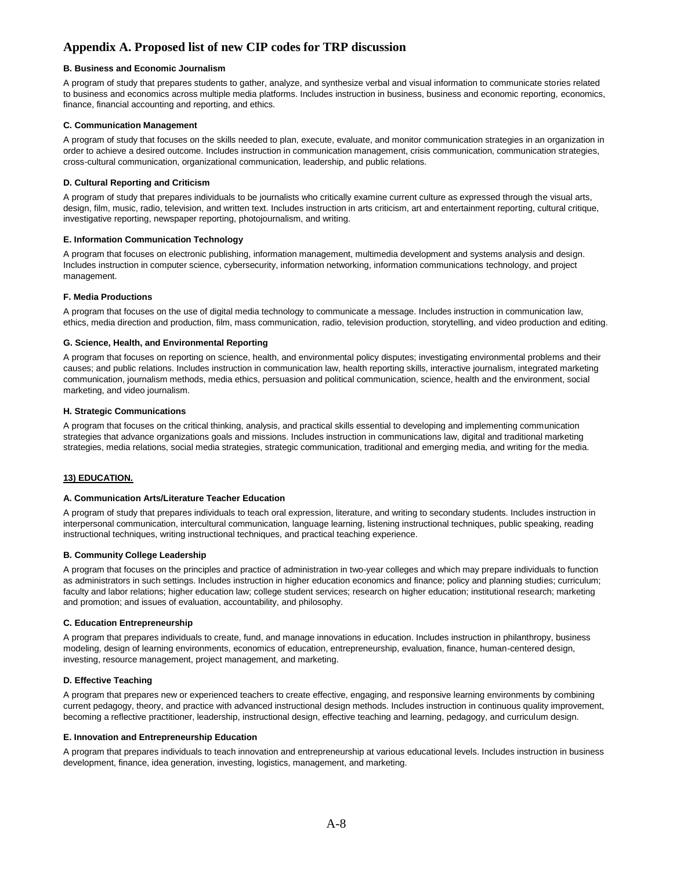## **B. Business and Economic Journalism**

A program of study that prepares students to gather, analyze, and synthesize verbal and visual information to communicate stories related to business and economics across multiple media platforms. Includes instruction in business, business and economic reporting, economics, finance, financial accounting and reporting, and ethics.

## **C. Communication Management**

A program of study that focuses on the skills needed to plan, execute, evaluate, and monitor communication strategies in an organization in order to achieve a desired outcome. Includes instruction in communication management, crisis communication, communication strategies, cross-cultural communication, organizational communication, leadership, and public relations.

### **D. Cultural Reporting and Criticism**

A program of study that prepares individuals to be journalists who critically examine current culture as expressed through the visual arts, design, film, music, radio, television, and written text. Includes instruction in arts criticism, art and entertainment reporting, cultural critique, investigative reporting, newspaper reporting, photojournalism, and writing.

#### **E. Information Communication Technology**

A program that focuses on electronic publishing, information management, multimedia development and systems analysis and design. Includes instruction in computer science, cybersecurity, information networking, information communications technology, and project management.

## **F. Media Productions**

A program that focuses on the use of digital media technology to communicate a message. Includes instruction in communication law, ethics, media direction and production, film, mass communication, radio, television production, storytelling, and video production and editing.

## **G. Science, Health, and Environmental Reporting**

A program that focuses on reporting on science, health, and environmental policy disputes; investigating environmental problems and their causes; and public relations. Includes instruction in communication law, health reporting skills, interactive journalism, integrated marketing communication, journalism methods, media ethics, persuasion and political communication, science, health and the environment, social marketing, and video journalism.

#### **H. Strategic Communications**

A program that focuses on the critical thinking, analysis, and practical skills essential to developing and implementing communication strategies that advance organizations goals and missions. Includes instruction in communications law, digital and traditional marketing strategies, media relations, social media strategies, strategic communication, traditional and emerging media, and writing for the media.

## **13) EDUCATION.**

#### **A. Communication Arts/Literature Teacher Education**

A program of study that prepares individuals to teach oral expression, literature, and writing to secondary students. Includes instruction in interpersonal communication, intercultural communication, language learning, listening instructional techniques, public speaking, reading instructional techniques, writing instructional techniques, and practical teaching experience.

#### **B. Community College Leadership**

A program that focuses on the principles and practice of administration in two-year colleges and which may prepare individuals to function as administrators in such settings. Includes instruction in higher education economics and finance; policy and planning studies; curriculum; faculty and labor relations; higher education law; college student services; research on higher education; institutional research; marketing and promotion; and issues of evaluation, accountability, and philosophy.

#### **C. Education Entrepreneurship**

A program that prepares individuals to create, fund, and manage innovations in education. Includes instruction in philanthropy, business modeling, design of learning environments, economics of education, entrepreneurship, evaluation, finance, human-centered design, investing, resource management, project management, and marketing.

#### **D. Effective Teaching**

A program that prepares new or experienced teachers to create effective, engaging, and responsive learning environments by combining current pedagogy, theory, and practice with advanced instructional design methods. Includes instruction in continuous quality improvement, becoming a reflective practitioner, leadership, instructional design, effective teaching and learning, pedagogy, and curriculum design.

## **E. Innovation and Entrepreneurship Education**

A program that prepares individuals to teach innovation and entrepreneurship at various educational levels. Includes instruction in business development, finance, idea generation, investing, logistics, management, and marketing.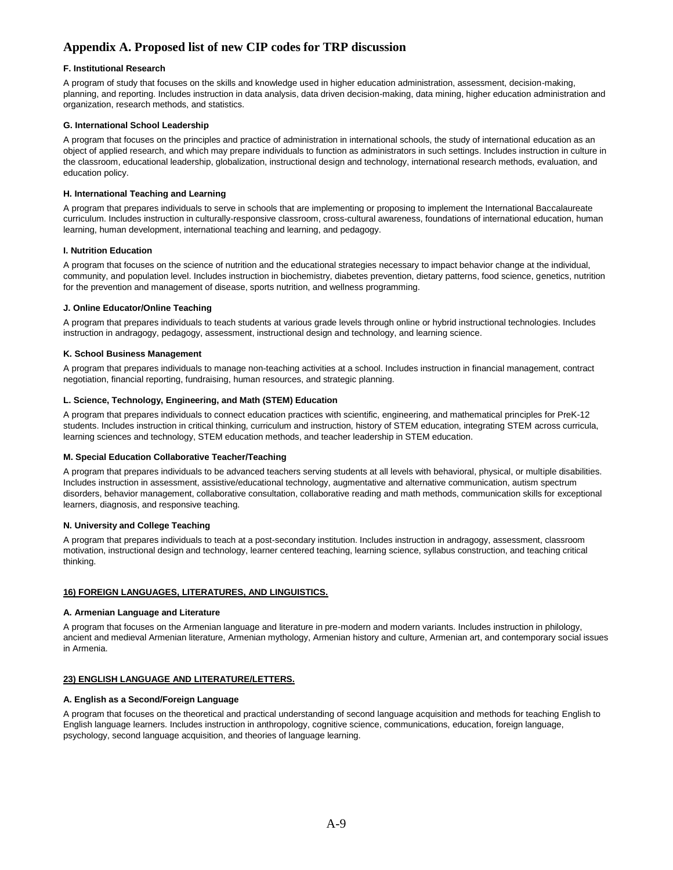## **F. Institutional Research**

A program of study that focuses on the skills and knowledge used in higher education administration, assessment, decision-making, planning, and reporting. Includes instruction in data analysis, data driven decision-making, data mining, higher education administration and organization, research methods, and statistics.

## **G. International School Leadership**

A program that focuses on the principles and practice of administration in international schools, the study of international education as an object of applied research, and which may prepare individuals to function as administrators in such settings. Includes instruction in culture in the classroom, educational leadership, globalization, instructional design and technology, international research methods, evaluation, and education policy.

## **H. International Teaching and Learning**

A program that prepares individuals to serve in schools that are implementing or proposing to implement the International Baccalaureate curriculum. Includes instruction in culturally-responsive classroom, cross-cultural awareness, foundations of international education, human learning, human development, international teaching and learning, and pedagogy.

#### **I. Nutrition Education**

A program that focuses on the science of nutrition and the educational strategies necessary to impact behavior change at the individual, community, and population level. Includes instruction in biochemistry, diabetes prevention, dietary patterns, food science, genetics, nutrition for the prevention and management of disease, sports nutrition, and wellness programming.

#### **J. Online Educator/Online Teaching**

A program that prepares individuals to teach students at various grade levels through online or hybrid instructional technologies. Includes instruction in andragogy, pedagogy, assessment, instructional design and technology, and learning science.

#### **K. School Business Management**

A program that prepares individuals to manage non-teaching activities at a school. Includes instruction in financial management, contract negotiation, financial reporting, fundraising, human resources, and strategic planning.

## **L. Science, Technology, Engineering, and Math (STEM) Education**

A program that prepares individuals to connect education practices with scientific, engineering, and mathematical principles for PreK-12 students. Includes instruction in critical thinking, curriculum and instruction, history of STEM education, integrating STEM across curricula, learning sciences and technology, STEM education methods, and teacher leadership in STEM education.

#### **M. Special Education Collaborative Teacher/Teaching**

A program that prepares individuals to be advanced teachers serving students at all levels with behavioral, physical, or multiple disabilities. Includes instruction in assessment, assistive/educational technology, augmentative and alternative communication, autism spectrum disorders, behavior management, collaborative consultation, collaborative reading and math methods, communication skills for exceptional learners, diagnosis, and responsive teaching.

#### **N. University and College Teaching**

A program that prepares individuals to teach at a post-secondary institution. Includes instruction in andragogy, assessment, classroom motivation, instructional design and technology, learner centered teaching, learning science, syllabus construction, and teaching critical thinking.

#### **16) FOREIGN LANGUAGES, LITERATURES, AND LINGUISTICS.**

#### **A. Armenian Language and Literature**

A program that focuses on the Armenian language and literature in pre-modern and modern variants. Includes instruction in philology, ancient and medieval Armenian literature, Armenian mythology, Armenian history and culture, Armenian art, and contemporary social issues in Armenia.

#### **23) ENGLISH LANGUAGE AND LITERATURE/LETTERS.**

## **A. English as a Second/Foreign Language**

A program that focuses on the theoretical and practical understanding of second language acquisition and methods for teaching English to English language learners. Includes instruction in anthropology, cognitive science, communications, education, foreign language, psychology, second language acquisition, and theories of language learning.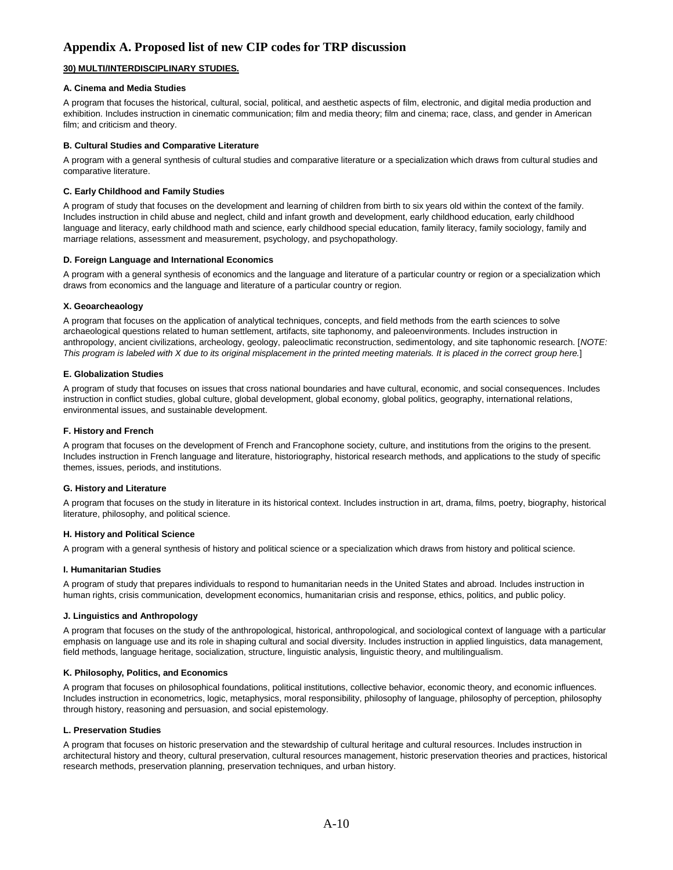## **30) MULTI/INTERDISCIPLINARY STUDIES.**

## **A. Cinema and Media Studies**

A program that focuses the historical, cultural, social, political, and aesthetic aspects of film, electronic, and digital media production and exhibition. Includes instruction in cinematic communication; film and media theory; film and cinema; race, class, and gender in American film; and criticism and theory.

### **B. Cultural Studies and Comparative Literature**

A program with a general synthesis of cultural studies and comparative literature or a specialization which draws from cultural studies and comparative literature.

## **C. Early Childhood and Family Studies**

A program of study that focuses on the development and learning of children from birth to six years old within the context of the family. Includes instruction in child abuse and neglect, child and infant growth and development, early childhood education, early childhood language and literacy, early childhood math and science, early childhood special education, family literacy, family sociology, family and marriage relations, assessment and measurement, psychology, and psychopathology.

#### **D. Foreign Language and International Economics**

A program with a general synthesis of economics and the language and literature of a particular country or region or a specialization which draws from economics and the language and literature of a particular country or region.

## **X. Geoarcheaology**

A program that focuses on the application of analytical techniques, concepts, and field methods from the earth sciences to solve archaeological questions related to human settlement, artifacts, site taphonomy, and paleoenvironments. Includes instruction in anthropology, ancient civilizations, archeology, geology, paleoclimatic reconstruction, sedimentology, and site taphonomic research. [*NOTE: This program is labeled with X due to its original misplacement in the printed meeting materials. It is placed in the correct group here.*]

## **E. Globalization Studies**

A program of study that focuses on issues that cross national boundaries and have cultural, economic, and social consequences. Includes instruction in conflict studies, global culture, global development, global economy, global politics, geography, international relations, environmental issues, and sustainable development.

### **F. History and French**

A program that focuses on the development of French and Francophone society, culture, and institutions from the origins to the present. Includes instruction in French language and literature, historiography, historical research methods, and applications to the study of specific themes, issues, periods, and institutions.

#### **G. History and Literature**

A program that focuses on the study in literature in its historical context. Includes instruction in art, drama, films, poetry, biography, historical literature, philosophy, and political science.

#### **H. History and Political Science**

A program with a general synthesis of history and political science or a specialization which draws from history and political science.

## **I. Humanitarian Studies**

A program of study that prepares individuals to respond to humanitarian needs in the United States and abroad. Includes instruction in human rights, crisis communication, development economics, humanitarian crisis and response, ethics, politics, and public policy.

#### **J. Linguistics and Anthropology**

A program that focuses on the study of the anthropological, historical, anthropological, and sociological context of language with a particular emphasis on language use and its role in shaping cultural and social diversity. Includes instruction in applied linguistics, data management, field methods, language heritage, socialization, structure, linguistic analysis, linguistic theory, and multilingualism.

#### **K. Philosophy, Politics, and Economics**

A program that focuses on philosophical foundations, political institutions, collective behavior, economic theory, and economic influences. Includes instruction in econometrics, logic, metaphysics, moral responsibility, philosophy of language, philosophy of perception, philosophy through history, reasoning and persuasion, and social epistemology.

#### **L. Preservation Studies**

A program that focuses on historic preservation and the stewardship of cultural heritage and cultural resources. Includes instruction in architectural history and theory, cultural preservation, cultural resources management, historic preservation theories and practices, historical research methods, preservation planning, preservation techniques, and urban history.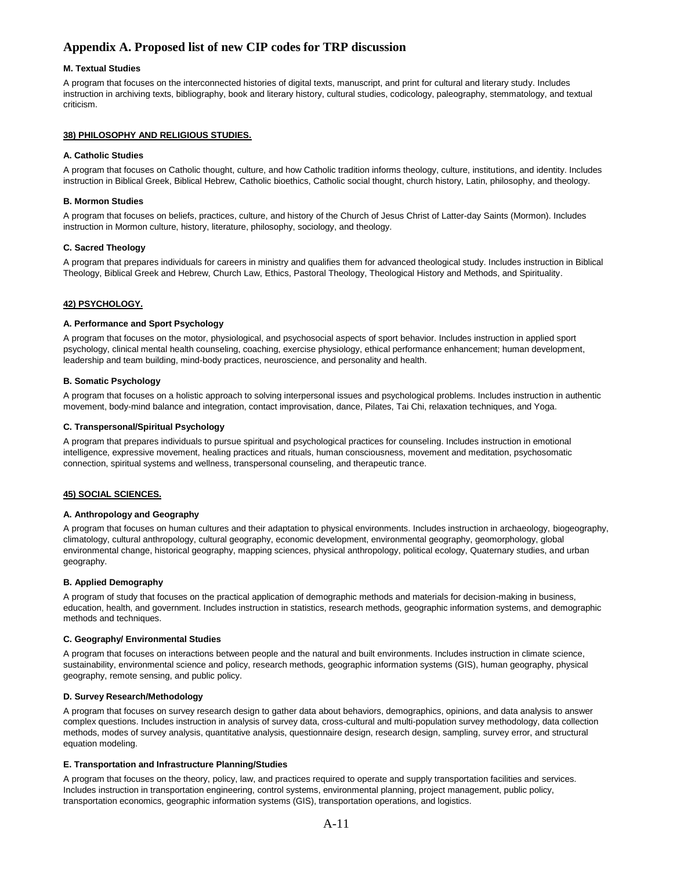## **M. Textual Studies**

A program that focuses on the interconnected histories of digital texts, manuscript, and print for cultural and literary study. Includes instruction in archiving texts, bibliography, book and literary history, cultural studies, codicology, paleography, stemmatology, and textual criticism.

### **38) PHILOSOPHY AND RELIGIOUS STUDIES.**

#### **A. Catholic Studies**

A program that focuses on Catholic thought, culture, and how Catholic tradition informs theology, culture, institutions, and identity. Includes instruction in Biblical Greek, Biblical Hebrew, Catholic bioethics, Catholic social thought, church history, Latin, philosophy, and theology.

### **B. Mormon Studies**

A program that focuses on beliefs, practices, culture, and history of the Church of Jesus Christ of Latter-day Saints (Mormon). Includes instruction in Mormon culture, history, literature, philosophy, sociology, and theology.

## **C. Sacred Theology**

A program that prepares individuals for careers in ministry and qualifies them for advanced theological study. Includes instruction in Biblical Theology, Biblical Greek and Hebrew, Church Law, Ethics, Pastoral Theology, Theological History and Methods, and Spirituality.

## **42) PSYCHOLOGY.**

#### **A. Performance and Sport Psychology**

A program that focuses on the motor, physiological, and psychosocial aspects of sport behavior. Includes instruction in applied sport psychology, clinical mental health counseling, coaching, exercise physiology, ethical performance enhancement; human development, leadership and team building, mind-body practices, neuroscience, and personality and health.

## **B. Somatic Psychology**

A program that focuses on a holistic approach to solving interpersonal issues and psychological problems. Includes instruction in authentic movement, body-mind balance and integration, contact improvisation, dance, Pilates, Tai Chi, relaxation techniques, and Yoga.

#### **C. Transpersonal/Spiritual Psychology**

A program that prepares individuals to pursue spiritual and psychological practices for counseling. Includes instruction in emotional intelligence, expressive movement, healing practices and rituals, human consciousness, movement and meditation, psychosomatic connection, spiritual systems and wellness, transpersonal counseling, and therapeutic trance.

## **45) SOCIAL SCIENCES.**

#### **A. Anthropology and Geography**

A program that focuses on human cultures and their adaptation to physical environments. Includes instruction in archaeology, biogeography, climatology, cultural anthropology, cultural geography, economic development, environmental geography, geomorphology, global environmental change, historical geography, mapping sciences, physical anthropology, political ecology, Quaternary studies, and urban geography.

#### **B. Applied Demography**

A program of study that focuses on the practical application of demographic methods and materials for decision-making in business, education, health, and government. Includes instruction in statistics, research methods, geographic information systems, and demographic methods and techniques.

#### **C. Geography/ Environmental Studies**

A program that focuses on interactions between people and the natural and built environments. Includes instruction in climate science, sustainability, environmental science and policy, research methods, geographic information systems (GIS), human geography, physical geography, remote sensing, and public policy.

#### **D. Survey Research/Methodology**

A program that focuses on survey research design to gather data about behaviors, demographics, opinions, and data analysis to answer complex questions. Includes instruction in analysis of survey data, cross-cultural and multi-population survey methodology, data collection methods, modes of survey analysis, quantitative analysis, questionnaire design, research design, sampling, survey error, and structural equation modeling.

#### **E. Transportation and Infrastructure Planning/Studies**

A program that focuses on the theory, policy, law, and practices required to operate and supply transportation facilities and services. Includes instruction in transportation engineering, control systems, environmental planning, project management, public policy, transportation economics, geographic information systems (GIS), transportation operations, and logistics.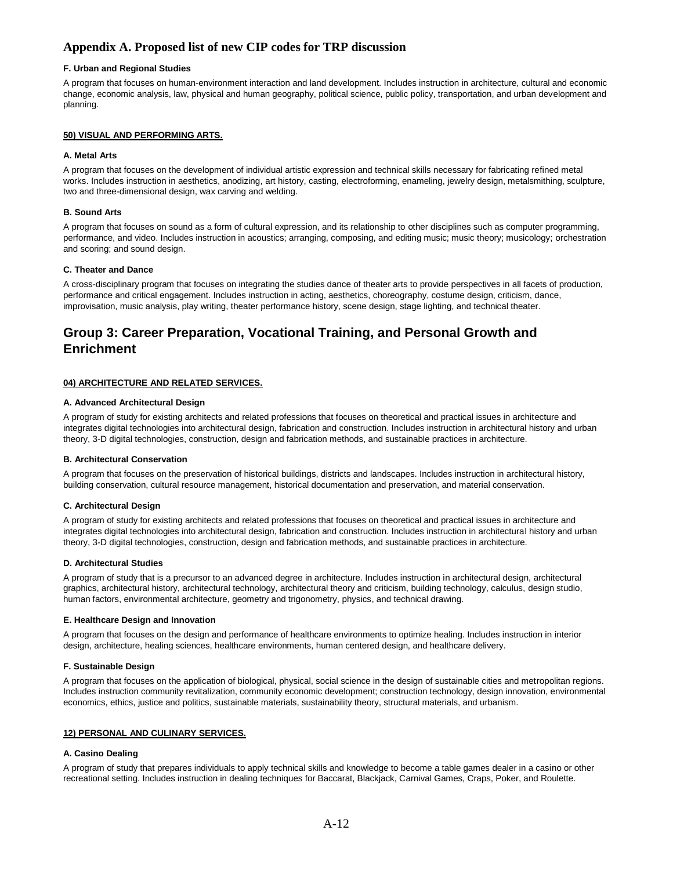## **F. Urban and Regional Studies**

A program that focuses on human-environment interaction and land development. Includes instruction in architecture, cultural and economic change, economic analysis, law, physical and human geography, political science, public policy, transportation, and urban development and planning.

## **50) VISUAL AND PERFORMING ARTS.**

### **A. Metal Arts**

A program that focuses on the development of individual artistic expression and technical skills necessary for fabricating refined metal works. Includes instruction in aesthetics, anodizing, art history, casting, electroforming, enameling, jewelry design, metalsmithing, sculpture, two and three-dimensional design, wax carving and welding.

### **B. Sound Arts**

A program that focuses on sound as a form of cultural expression, and its relationship to other disciplines such as computer programming, performance, and video. Includes instruction in acoustics; arranging, composing, and editing music; music theory; musicology; orchestration and scoring; and sound design.

## **C. Theater and Dance**

A cross-disciplinary program that focuses on integrating the studies dance of theater arts to provide perspectives in all facets of production, performance and critical engagement. Includes instruction in acting, aesthetics, choreography, costume design, criticism, dance, improvisation, music analysis, play writing, theater performance history, scene design, stage lighting, and technical theater.

# **Group 3: Career Preparation, Vocational Training, and Personal Growth and Enrichment**

## **04) ARCHITECTURE AND RELATED SERVICES.**

### **A. Advanced Architectural Design**

A program of study for existing architects and related professions that focuses on theoretical and practical issues in architecture and integrates digital technologies into architectural design, fabrication and construction. Includes instruction in architectural history and urban theory, 3-D digital technologies, construction, design and fabrication methods, and sustainable practices in architecture.

#### **B. Architectural Conservation**

A program that focuses on the preservation of historical buildings, districts and landscapes. Includes instruction in architectural history, building conservation, cultural resource management, historical documentation and preservation, and material conservation.

#### **C. Architectural Design**

A program of study for existing architects and related professions that focuses on theoretical and practical issues in architecture and integrates digital technologies into architectural design, fabrication and construction. Includes instruction in architectural history and urban theory, 3-D digital technologies, construction, design and fabrication methods, and sustainable practices in architecture.

#### **D. Architectural Studies**

A program of study that is a precursor to an advanced degree in architecture. Includes instruction in architectural design, architectural graphics, architectural history, architectural technology, architectural theory and criticism, building technology, calculus, design studio, human factors, environmental architecture, geometry and trigonometry, physics, and technical drawing.

#### **E. Healthcare Design and Innovation**

A program that focuses on the design and performance of healthcare environments to optimize healing. Includes instruction in interior design, architecture, healing sciences, healthcare environments, human centered design, and healthcare delivery.

#### **F. Sustainable Design**

A program that focuses on the application of biological, physical, social science in the design of sustainable cities and metropolitan regions. Includes instruction community revitalization, community economic development; construction technology, design innovation, environmental economics, ethics, justice and politics, sustainable materials, sustainability theory, structural materials, and urbanism.

#### **12) PERSONAL AND CULINARY SERVICES.**

#### **A. Casino Dealing**

A program of study that prepares individuals to apply technical skills and knowledge to become a table games dealer in a casino or other recreational setting. Includes instruction in dealing techniques for Baccarat, Blackjack, Carnival Games, Craps, Poker, and Roulette.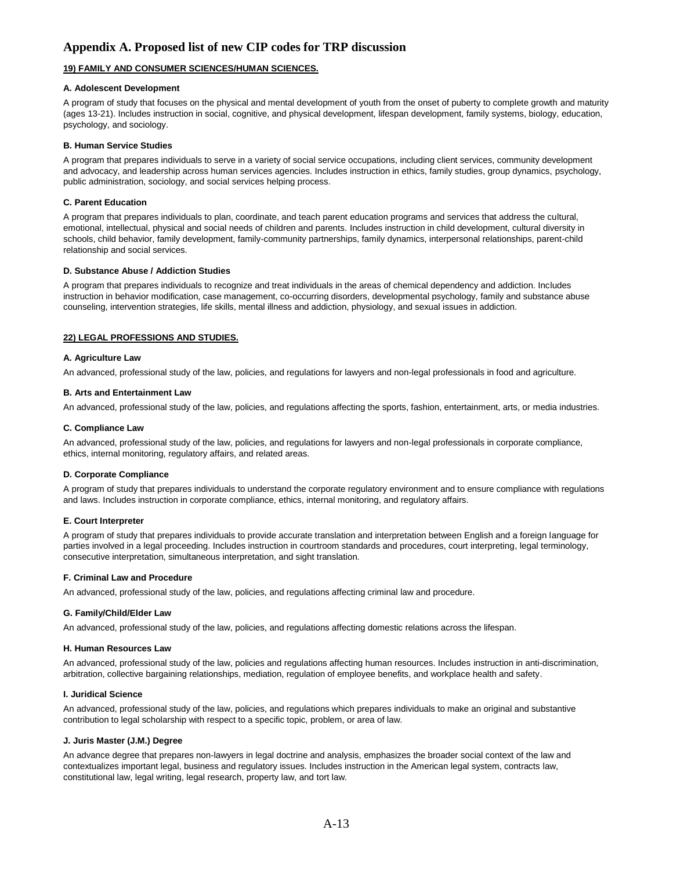## **19) FAMILY AND CONSUMER SCIENCES/HUMAN SCIENCES.**

#### **A. Adolescent Development**

A program of study that focuses on the physical and mental development of youth from the onset of puberty to complete growth and maturity (ages 13-21). Includes instruction in social, cognitive, and physical development, lifespan development, family systems, biology, education, psychology, and sociology.

#### **B. Human Service Studies**

A program that prepares individuals to serve in a variety of social service occupations, including client services, community development and advocacy, and leadership across human services agencies. Includes instruction in ethics, family studies, group dynamics, psychology, public administration, sociology, and social services helping process.

#### **C. Parent Education**

A program that prepares individuals to plan, coordinate, and teach parent education programs and services that address the cultural, emotional, intellectual, physical and social needs of children and parents. Includes instruction in child development, cultural diversity in schools, child behavior, family development, family-community partnerships, family dynamics, interpersonal relationships, parent-child relationship and social services.

#### **D. Substance Abuse / Addiction Studies**

A program that prepares individuals to recognize and treat individuals in the areas of chemical dependency and addiction. Includes instruction in behavior modification, case management, co-occurring disorders, developmental psychology, family and substance abuse counseling, intervention strategies, life skills, mental illness and addiction, physiology, and sexual issues in addiction.

#### **22) LEGAL PROFESSIONS AND STUDIES.**

#### **A. Agriculture Law**

An advanced, professional study of the law, policies, and regulations for lawyers and non-legal professionals in food and agriculture.

#### **B. Arts and Entertainment Law**

An advanced, professional study of the law, policies, and regulations affecting the sports, fashion, entertainment, arts, or media industries.

#### **C. Compliance Law**

An advanced, professional study of the law, policies, and regulations for lawyers and non-legal professionals in corporate compliance, ethics, internal monitoring, regulatory affairs, and related areas.

#### **D. Corporate Compliance**

A program of study that prepares individuals to understand the corporate regulatory environment and to ensure compliance with regulations and laws. Includes instruction in corporate compliance, ethics, internal monitoring, and regulatory affairs.

#### **E. Court Interpreter**

A program of study that prepares individuals to provide accurate translation and interpretation between English and a foreign language for parties involved in a legal proceeding. Includes instruction in courtroom standards and procedures, court interpreting, legal terminology, consecutive interpretation, simultaneous interpretation, and sight translation.

#### **F. Criminal Law and Procedure**

An advanced, professional study of the law, policies, and regulations affecting criminal law and procedure.

#### **G. Family/Child/Elder Law**

An advanced, professional study of the law, policies, and regulations affecting domestic relations across the lifespan.

#### **H. Human Resources Law**

An advanced, professional study of the law, policies and regulations affecting human resources. Includes instruction in anti-discrimination, arbitration, collective bargaining relationships, mediation, regulation of employee benefits, and workplace health and safety.

#### **I. Juridical Science**

An advanced, professional study of the law, policies, and regulations which prepares individuals to make an original and substantive contribution to legal scholarship with respect to a specific topic, problem, or area of law.

#### **J. Juris Master (J.M.) Degree**

An advance degree that prepares non-lawyers in legal doctrine and analysis, emphasizes the broader social context of the law and contextualizes important legal, business and regulatory issues. Includes instruction in the American legal system, contracts law, constitutional law, legal writing, legal research, property law, and tort law.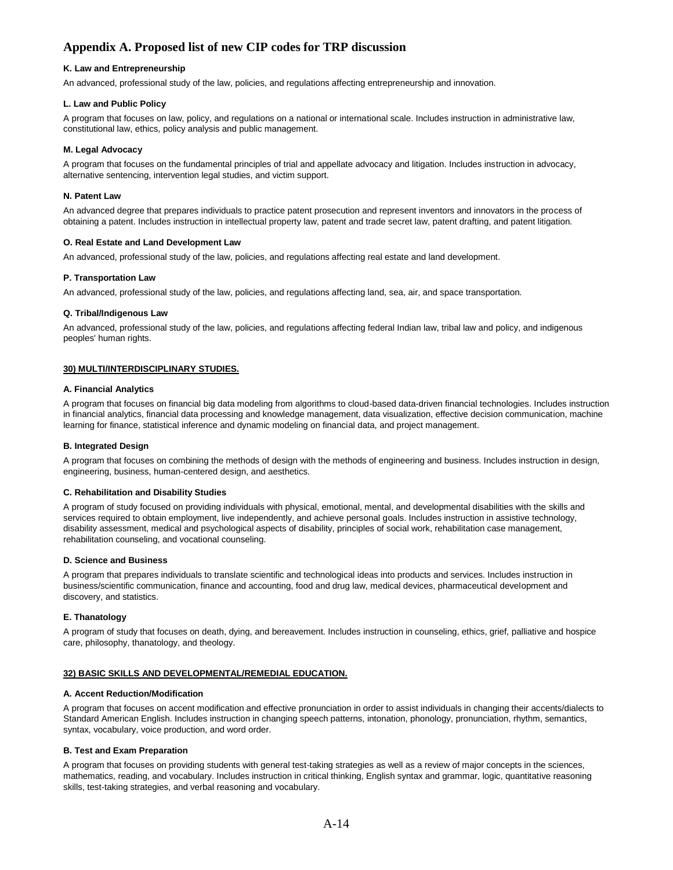#### **K. Law and Entrepreneurship**

An advanced, professional study of the law, policies, and regulations affecting entrepreneurship and innovation.

### **L. Law and Public Policy**

A program that focuses on law, policy, and regulations on a national or international scale. Includes instruction in administrative law, constitutional law, ethics, policy analysis and public management.

## **M. Legal Advocacy**

A program that focuses on the fundamental principles of trial and appellate advocacy and litigation. Includes instruction in advocacy, alternative sentencing, intervention legal studies, and victim support.

### **N. Patent Law**

An advanced degree that prepares individuals to practice patent prosecution and represent inventors and innovators in the process of obtaining a patent. Includes instruction in intellectual property law, patent and trade secret law, patent drafting, and patent litigation.

## **O. Real Estate and Land Development Law**

An advanced, professional study of the law, policies, and regulations affecting real estate and land development.

#### **P. Transportation Law**

An advanced, professional study of the law, policies, and regulations affecting land, sea, air, and space transportation.

#### **Q. Tribal/Indigenous Law**

An advanced, professional study of the law, policies, and regulations affecting federal Indian law, tribal law and policy, and indigenous peoples' human rights.

## **30) MULTI/INTERDISCIPLINARY STUDIES.**

#### **A. Financial Analytics**

A program that focuses on financial big data modeling from algorithms to cloud-based data-driven financial technologies. Includes instruction in financial analytics, financial data processing and knowledge management, data visualization, effective decision communication, machine learning for finance, statistical inference and dynamic modeling on financial data, and project management.

#### **B. Integrated Design**

A program that focuses on combining the methods of design with the methods of engineering and business. Includes instruction in design, engineering, business, human-centered design, and aesthetics.

#### **C. Rehabilitation and Disability Studies**

A program of study focused on providing individuals with physical, emotional, mental, and developmental disabilities with the skills and services required to obtain employment, live independently, and achieve personal goals. Includes instruction in assistive technology, disability assessment, medical and psychological aspects of disability, principles of social work, rehabilitation case management, rehabilitation counseling, and vocational counseling.

#### **D. Science and Business**

A program that prepares individuals to translate scientific and technological ideas into products and services. Includes instruction in business/scientific communication, finance and accounting, food and drug law, medical devices, pharmaceutical development and discovery, and statistics.

#### **E. Thanatology**

A program of study that focuses on death, dying, and bereavement. Includes instruction in counseling, ethics, grief, palliative and hospice care, philosophy, thanatology, and theology.

## **32) BASIC SKILLS AND DEVELOPMENTAL/REMEDIAL EDUCATION.**

### **A. Accent Reduction/Modification**

A program that focuses on accent modification and effective pronunciation in order to assist individuals in changing their accents/dialects to Standard American English. Includes instruction in changing speech patterns, intonation, phonology, pronunciation, rhythm, semantics, syntax, vocabulary, voice production, and word order.

#### **B. Test and Exam Preparation**

A program that focuses on providing students with general test-taking strategies as well as a review of major concepts in the sciences, mathematics, reading, and vocabulary. Includes instruction in critical thinking, English syntax and grammar, logic, quantitative reasoning skills, test-taking strategies, and verbal reasoning and vocabulary.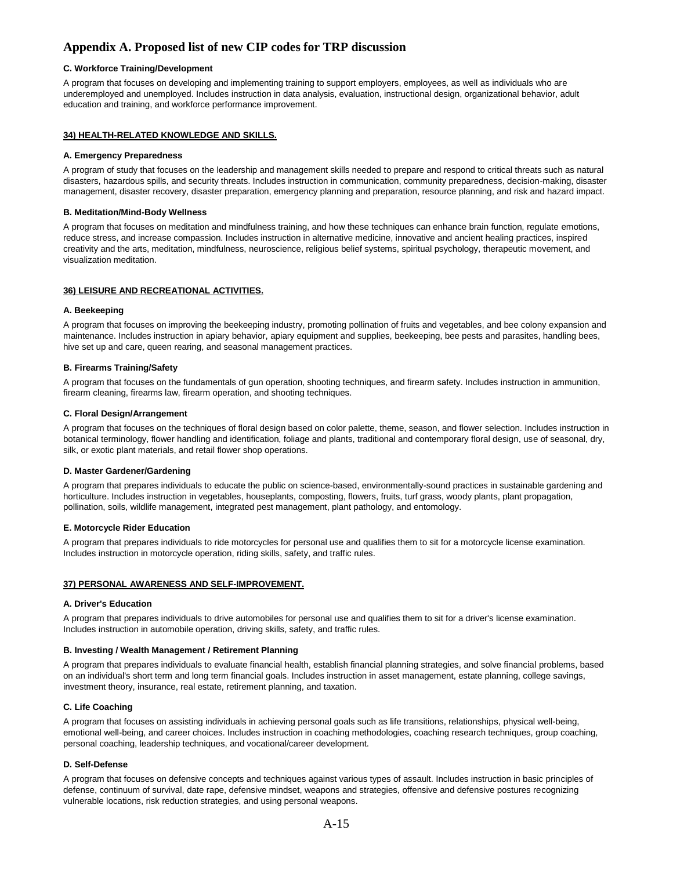## **C. Workforce Training/Development**

A program that focuses on developing and implementing training to support employers, employees, as well as individuals who are underemployed and unemployed. Includes instruction in data analysis, evaluation, instructional design, organizational behavior, adult education and training, and workforce performance improvement.

#### **34) HEALTH-RELATED KNOWLEDGE AND SKILLS.**

### **A. Emergency Preparedness**

A program of study that focuses on the leadership and management skills needed to prepare and respond to critical threats such as natural disasters, hazardous spills, and security threats. Includes instruction in communication, community preparedness, decision-making, disaster management, disaster recovery, disaster preparation, emergency planning and preparation, resource planning, and risk and hazard impact.

#### **B. Meditation/Mind-Body Wellness**

A program that focuses on meditation and mindfulness training, and how these techniques can enhance brain function, regulate emotions, reduce stress, and increase compassion. Includes instruction in alternative medicine, innovative and ancient healing practices, inspired creativity and the arts, meditation, mindfulness, neuroscience, religious belief systems, spiritual psychology, therapeutic movement, and visualization meditation.

## **36) LEISURE AND RECREATIONAL ACTIVITIES.**

#### **A. Beekeeping**

A program that focuses on improving the beekeeping industry, promoting pollination of fruits and vegetables, and bee colony expansion and maintenance. Includes instruction in apiary behavior, apiary equipment and supplies, beekeeping, bee pests and parasites, handling bees, hive set up and care, queen rearing, and seasonal management practices.

#### **B. Firearms Training/Safety**

A program that focuses on the fundamentals of gun operation, shooting techniques, and firearm safety. Includes instruction in ammunition, firearm cleaning, firearms law, firearm operation, and shooting techniques.

#### **C. Floral Design/Arrangement**

A program that focuses on the techniques of floral design based on color palette, theme, season, and flower selection. Includes instruction in botanical terminology, flower handling and identification, foliage and plants, traditional and contemporary floral design, use of seasonal, dry, silk, or exotic plant materials, and retail flower shop operations.

#### **D. Master Gardener/Gardening**

A program that prepares individuals to educate the public on science-based, environmentally-sound practices in sustainable gardening and horticulture. Includes instruction in vegetables, houseplants, composting, flowers, fruits, turf grass, woody plants, plant propagation, pollination, soils, wildlife management, integrated pest management, plant pathology, and entomology.

#### **E. Motorcycle Rider Education**

A program that prepares individuals to ride motorcycles for personal use and qualifies them to sit for a motorcycle license examination. Includes instruction in motorcycle operation, riding skills, safety, and traffic rules.

## **37) PERSONAL AWARENESS AND SELF-IMPROVEMENT.**

#### **A. Driver's Education**

A program that prepares individuals to drive automobiles for personal use and qualifies them to sit for a driver's license examination. Includes instruction in automobile operation, driving skills, safety, and traffic rules.

#### **B. Investing / Wealth Management / Retirement Planning**

A program that prepares individuals to evaluate financial health, establish financial planning strategies, and solve financial problems, based on an individual's short term and long term financial goals. Includes instruction in asset management, estate planning, college savings, investment theory, insurance, real estate, retirement planning, and taxation.

#### **C. Life Coaching**

A program that focuses on assisting individuals in achieving personal goals such as life transitions, relationships, physical well-being, emotional well-being, and career choices. Includes instruction in coaching methodologies, coaching research techniques, group coaching, personal coaching, leadership techniques, and vocational/career development.

#### **D. Self-Defense**

A program that focuses on defensive concepts and techniques against various types of assault. Includes instruction in basic principles of defense, continuum of survival, date rape, defensive mindset, weapons and strategies, offensive and defensive postures recognizing vulnerable locations, risk reduction strategies, and using personal weapons.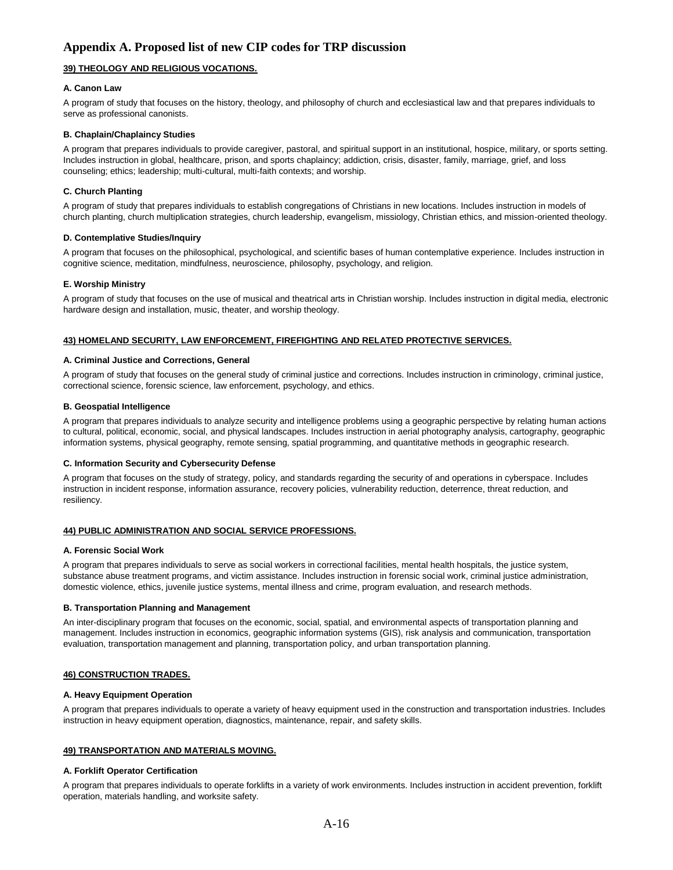## **39) THEOLOGY AND RELIGIOUS VOCATIONS.**

## **A. Canon Law**

A program of study that focuses on the history, theology, and philosophy of church and ecclesiastical law and that prepares individuals to serve as professional canonists.

### **B. Chaplain/Chaplaincy Studies**

A program that prepares individuals to provide caregiver, pastoral, and spiritual support in an institutional, hospice, military, or sports setting. Includes instruction in global, healthcare, prison, and sports chaplaincy; addiction, crisis, disaster, family, marriage, grief, and loss counseling; ethics; leadership; multi-cultural, multi-faith contexts; and worship.

## **C. Church Planting**

A program of study that prepares individuals to establish congregations of Christians in new locations. Includes instruction in models of church planting, church multiplication strategies, church leadership, evangelism, missiology, Christian ethics, and mission-oriented theology.

## **D. Contemplative Studies/Inquiry**

A program that focuses on the philosophical, psychological, and scientific bases of human contemplative experience. Includes instruction in cognitive science, meditation, mindfulness, neuroscience, philosophy, psychology, and religion.

## **E. Worship Ministry**

A program of study that focuses on the use of musical and theatrical arts in Christian worship. Includes instruction in digital media, electronic hardware design and installation, music, theater, and worship theology.

## **43) HOMELAND SECURITY, LAW ENFORCEMENT, FIREFIGHTING AND RELATED PROTECTIVE SERVICES.**

#### **A. Criminal Justice and Corrections, General**

A program of study that focuses on the general study of criminal justice and corrections. Includes instruction in criminology, criminal justice, correctional science, forensic science, law enforcement, psychology, and ethics.

## **B. Geospatial Intelligence**

A program that prepares individuals to analyze security and intelligence problems using a geographic perspective by relating human actions to cultural, political, economic, social, and physical landscapes. Includes instruction in aerial photography analysis, cartography, geographic information systems, physical geography, remote sensing, spatial programming, and quantitative methods in geographic research.

#### **C. Information Security and Cybersecurity Defense**

A program that focuses on the study of strategy, policy, and standards regarding the security of and operations in cyberspace. Includes instruction in incident response, information assurance, recovery policies, vulnerability reduction, deterrence, threat reduction, and resiliency.

## **44) PUBLIC ADMINISTRATION AND SOCIAL SERVICE PROFESSIONS.**

#### **A. Forensic Social Work**

A program that prepares individuals to serve as social workers in correctional facilities, mental health hospitals, the justice system, substance abuse treatment programs, and victim assistance. Includes instruction in forensic social work, criminal justice administration, domestic violence, ethics, juvenile justice systems, mental illness and crime, program evaluation, and research methods.

#### **B. Transportation Planning and Management**

An inter-disciplinary program that focuses on the economic, social, spatial, and environmental aspects of transportation planning and management. Includes instruction in economics, geographic information systems (GIS), risk analysis and communication, transportation evaluation, transportation management and planning, transportation policy, and urban transportation planning.

## **46) CONSTRUCTION TRADES.**

#### **A. Heavy Equipment Operation**

A program that prepares individuals to operate a variety of heavy equipment used in the construction and transportation industries. Includes instruction in heavy equipment operation, diagnostics, maintenance, repair, and safety skills.

#### **49) TRANSPORTATION AND MATERIALS MOVING.**

#### **A. Forklift Operator Certification**

A program that prepares individuals to operate forklifts in a variety of work environments. Includes instruction in accident prevention, forklift operation, materials handling, and worksite safety.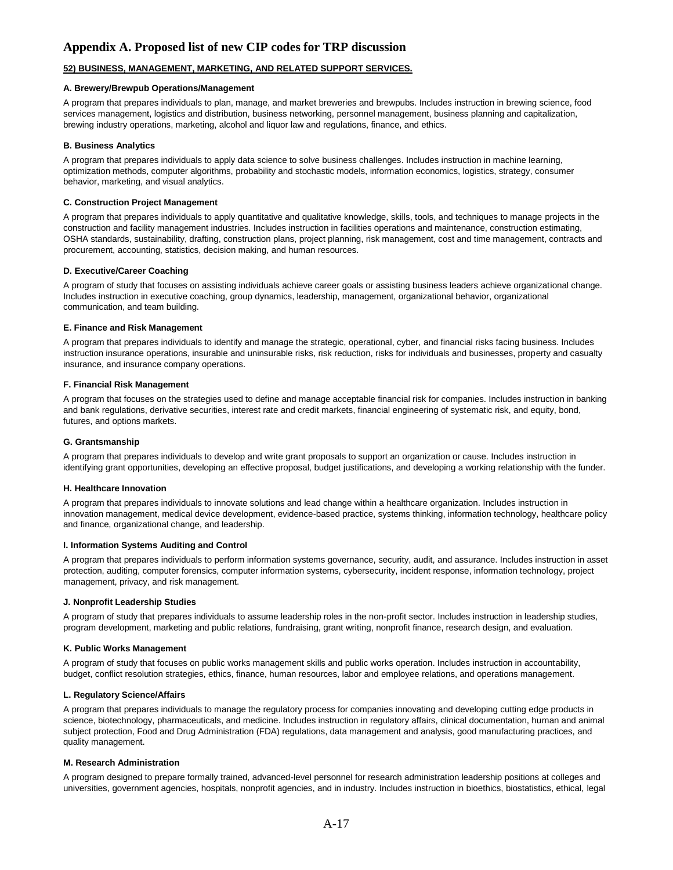## **52) BUSINESS, MANAGEMENT, MARKETING, AND RELATED SUPPORT SERVICES.**

#### **A. Brewery/Brewpub Operations/Management**

A program that prepares individuals to plan, manage, and market breweries and brewpubs. Includes instruction in brewing science, food services management, logistics and distribution, business networking, personnel management, business planning and capitalization, brewing industry operations, marketing, alcohol and liquor law and regulations, finance, and ethics.

#### **B. Business Analytics**

A program that prepares individuals to apply data science to solve business challenges. Includes instruction in machine learning, optimization methods, computer algorithms, probability and stochastic models, information economics, logistics, strategy, consumer behavior, marketing, and visual analytics.

#### **C. Construction Project Management**

A program that prepares individuals to apply quantitative and qualitative knowledge, skills, tools, and techniques to manage projects in the construction and facility management industries. Includes instruction in facilities operations and maintenance, construction estimating, OSHA standards, sustainability, drafting, construction plans, project planning, risk management, cost and time management, contracts and procurement, accounting, statistics, decision making, and human resources.

### **D. Executive/Career Coaching**

A program of study that focuses on assisting individuals achieve career goals or assisting business leaders achieve organizational change. Includes instruction in executive coaching, group dynamics, leadership, management, organizational behavior, organizational communication, and team building.

#### **E. Finance and Risk Management**

A program that prepares individuals to identify and manage the strategic, operational, cyber, and financial risks facing business. Includes instruction insurance operations, insurable and uninsurable risks, risk reduction, risks for individuals and businesses, property and casualty insurance, and insurance company operations.

#### **F. Financial Risk Management**

A program that focuses on the strategies used to define and manage acceptable financial risk for companies. Includes instruction in banking and bank regulations, derivative securities, interest rate and credit markets, financial engineering of systematic risk, and equity, bond, futures, and options markets.

#### **G. Grantsmanship**

A program that prepares individuals to develop and write grant proposals to support an organization or cause. Includes instruction in identifying grant opportunities, developing an effective proposal, budget justifications, and developing a working relationship with the funder.

#### **H. Healthcare Innovation**

A program that prepares individuals to innovate solutions and lead change within a healthcare organization. Includes instruction in innovation management, medical device development, evidence-based practice, systems thinking, information technology, healthcare policy and finance, organizational change, and leadership.

#### **I. Information Systems Auditing and Control**

A program that prepares individuals to perform information systems governance, security, audit, and assurance. Includes instruction in asset protection, auditing, computer forensics, computer information systems, cybersecurity, incident response, information technology, project management, privacy, and risk management.

#### **J. Nonprofit Leadership Studies**

A program of study that prepares individuals to assume leadership roles in the non-profit sector. Includes instruction in leadership studies, program development, marketing and public relations, fundraising, grant writing, nonprofit finance, research design, and evaluation.

#### **K. Public Works Management**

A program of study that focuses on public works management skills and public works operation. Includes instruction in accountability, budget, conflict resolution strategies, ethics, finance, human resources, labor and employee relations, and operations management.

#### **L. Regulatory Science/Affairs**

A program that prepares individuals to manage the regulatory process for companies innovating and developing cutting edge products in science, biotechnology, pharmaceuticals, and medicine. Includes instruction in regulatory affairs, clinical documentation, human and animal subject protection, Food and Drug Administration (FDA) regulations, data management and analysis, good manufacturing practices, and quality management.

### **M. Research Administration**

A program designed to prepare formally trained, advanced-level personnel for research administration leadership positions at colleges and universities, government agencies, hospitals, nonprofit agencies, and in industry. Includes instruction in bioethics, biostatistics, ethical, legal